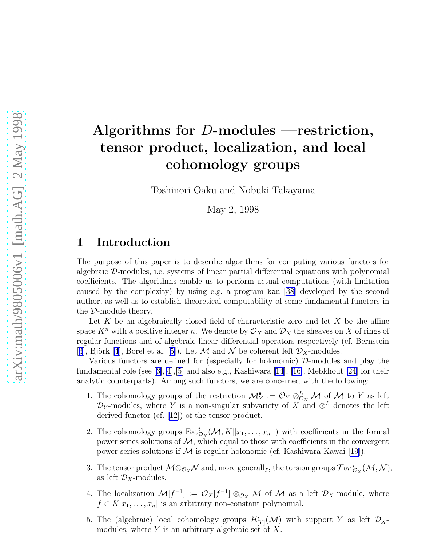# Algorithms for D-modules —restriction, tensor product, localization, and local cohomology groups

Toshinori Oaku and Nobuki Takayama

May 2, 1998

#### 1 Introduction

The purpose of this paper is to describe algorithms for computing various functors for algebraic D-modules, i.e. systems of linear partial differential equations with polynomial coefficients. The algorithms enable us to perform actual computations (with limitation caused by the complexity) by using e.g. a program kan [\[38](#page-36-0)] developed by the second author, as well as to establish theoretical computability of some fundamental functors in the D-module theory.

Let  $K$  be an algebraically closed field of characteristic zero and let  $X$  be the affine space  $K^n$  with a positive integer n. We denote by  $\mathcal{O}_X$  and  $\mathcal{D}_X$  the sheaves on X of rings of regular functions and of algebraic linear differential operators respectively (cf. Bernstein [[3](#page-34-0)], Björk [\[4](#page-34-0)],Borel et al. [[5\]](#page-34-0)). Let M and N be coherent left  $\mathcal{D}_X$ -modules.

Various functors are defined for (especially for holonomic)  $\mathcal{D}$ -modules and play the fundamentalrole (see  $[3], [4], [5]$  $[3], [4], [5]$  $[3], [4], [5]$  $[3], [4], [5]$  $[3], [4], [5]$  $[3], [4], [5]$  and also e.g., Kashiwara [\[14\]](#page-34-0), [[16\]](#page-34-0), Mebkhout [\[24\]](#page-35-0) for their analytic counterparts). Among such functors, we are concerned with the following:

- 1. The cohomology groups of the restriction  $\mathcal{M}_Y^{\bullet} := \mathcal{O}_Y \otimes_{\mathcal{O}_X}^L \mathcal{M}$  of  $\mathcal M$  to Y as left  $\mathcal{D}_Y$ -modules, where Y is a non-singular subvariety of X and  $\otimes^L$  denotes the left derived functor (cf. [\[12\]](#page-34-0)) of the tensor product.
- 2. The cohomology groups  $\text{Ext}^i_{\mathcal{D}_X}(\mathcal{M}, K[[x_1, \ldots, x_n]])$  with coefficients in the formal power series solutions of  $\mathcal{M}$ , which equal to those with coefficients in the convergent power series solutions if  $M$  is regular holonomic (cf. Kashiwara-Kawai [\[19](#page-34-0)]).
- 3. The tensor product  $\mathcal{M} \otimes_{\mathcal{O}_X} \mathcal{N}$  and, more generally, the torsion groups  $\mathcal{T}or \iota_{\mathcal{O}_X}^i(\mathcal{M}, \mathcal{N}),$ as left  $\mathcal{D}_X$ -modules.
- 4. The localization  $\mathcal{M}[f^{-1}] := \mathcal{O}_X[f^{-1}] \otimes_{\mathcal{O}_X} \mathcal{M}$  of  $\mathcal M$  as a left  $\mathcal{D}_X$ -module, where  $f \in K[x_1, \ldots, x_n]$  is an arbitrary non-constant polynomial.
- 5. The (algebraic) local cohomology groups  $\mathcal{H}_{[Y]}^i(\mathcal{M})$  with support Y as left  $\mathcal{D}_X$ modules, where  $Y$  is an arbitrary algebraic set of  $X$ .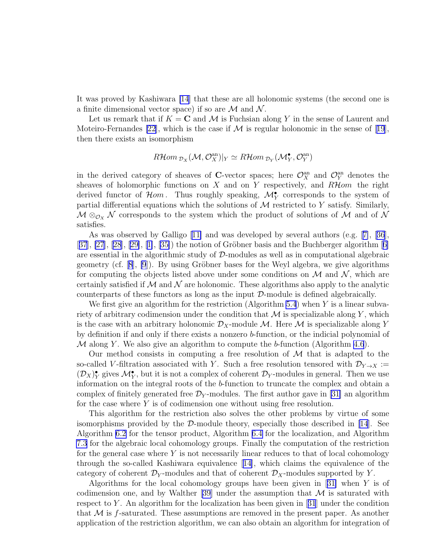It was proved by Kashiwara [\[14](#page-34-0)] that these are all holonomic systems (the second one is a finite dimensional vector space) if so are  $\mathcal M$  and  $\mathcal N$ .

Let us remark that if  $K = \mathbb{C}$  and  $\mathcal M$  is Fuchsian along Y in the sense of Laurent and Moteiro-Fernandes [\[22\]](#page-35-0),which is the case if  $M$  is regular holonomic in the sense of [[19](#page-34-0)], then there exists an isomorphism

$$
R\mathcal{H}om_{\mathcal{D}_X}(\mathcal{M}, \mathcal{O}_X^{\text{an}})|_Y \simeq R\mathcal{H}om_{\mathcal{D}_Y}(\mathcal{M}_Y^{\bullet}, \mathcal{O}_Y^{\text{an}})
$$

in the derived category of sheaves of C-vector spaces; here  $\mathcal{O}_X^{\text{an}}$  and  $\mathcal{O}_Y^{\text{an}}$  denotes the sheaves of holomorphic functions on  $X$  and on  $Y$  respectively, and  $R\mathcal{H}$ om the right derived functor of  $\mathcal{H}om$ . Thus roughly speaking,  $\mathcal{M}_Y^{\bullet}$  corresponds to the system of partial differential equations which the solutions of  $M$  restricted to Y satisfy. Similarly,  $\mathcal{M} \otimes_{\mathcal{O}_X} \mathcal{N}$  corresponds to the system which the product of solutions of  $\mathcal{M}$  and of  $\mathcal{N}$ satisfies.

As was observed by Galligo[[11\]](#page-34-0) and was developed by several authors (e.g.[[7\]](#page-34-0),[[36](#page-36-0)], [[37](#page-36-0)], [\[27](#page-35-0)], [\[28\]](#page-35-0),[[29\]](#page-35-0), [[1\]](#page-33-0), [[35\]](#page-35-0)) the notion of Gröbner basis and the Buchberger algorithm [[6\]](#page-34-0) are essential in the algorithmic study of  $D$ -modules as well as in computational algebraic geometry(cf.  $[8]$  $[8]$  $[8]$ ,  $[9]$ ). By using Gröbner bases for the Weyl algebra, we give algorithms for computing the objects listed above under some conditions on  $\mathcal M$  and  $\mathcal N$ , which are certainly satisfied if  $\mathcal M$  and  $\mathcal N$  are holonomic. These algorithms also apply to the analytic counterparts of these functors as long as the input D-module is defined algebraically.

We first give an algorithm for the restriction (Algorithm [5.4](#page-17-0)) when  $Y$  is a linear subvariety of arbitrary codimension under the condition that  $\mathcal M$  is specializable along Y, which is the case with an arbitrary holonomic  $\mathcal{D}_X$ -module M. Here M is specializable along Y by definition if and only if there exists a nonzero b-function, or the indicial polynomial of  $M$  along Y. We also give an algorithm to compute the b-function (Algorithm [4.6](#page-12-0)).

Our method consists in computing a free resolution of  $\mathcal M$  that is adapted to the so-called V-filtration associated with Y. Such a free resolution tensored with  $\mathcal{D}_{Y\to X}$  :=  $(\mathcal{D}_X)_{Y}^{\bullet}$  gives  $\mathcal{M}_{Y}^{\bullet}$ , but it is not a complex of coherent  $\mathcal{D}_Y$ -modules in general. Then we use information on the integral roots of the b-function to truncate the complex and obtain a complex of finitely generated free  $\mathcal{D}_Y$ -modules. The first author gave in [\[31\]](#page-35-0) an algorithm for the case where  $Y$  is of codimension one without using free resolution.

This algorithm for the restriction also solves the other problems by virtue of some isomorphisms provided by the  $\mathcal{D}$ -module theory, especially those described in [\[14\]](#page-34-0). See Algorithm [6.2](#page-20-0) for the tensor product, Algorithm [6.4](#page-21-0) for the localization, and Algorithm [7.3](#page-23-0) for the algebraic local cohomology groups. Finally the computation of the restriction for the general case where  $Y$  is not necessarily linear reduces to that of local cohomology through the so-called Kashiwara equivalence [\[14\]](#page-34-0), which claims the equivalence of the category of coherent  $\mathcal{D}_Y$ -modules and that of coherent  $\mathcal{D}_X$ -modules supported by Y.

Algorithms for the local cohomology groups have been given in[[31\]](#page-35-0) when Y is of codimension one, and by Walther [\[39\]](#page-36-0) under the assumption that  $\mathcal M$  is saturated with respectto Y. An algorithm for the localization has been given in  $[31]$  $[31]$  $[31]$  under the condition that  $\mathcal M$  is f-saturated. These assumptions are removed in the present paper. As another application of the restriction algorithm, we can also obtain an algorithm for integration of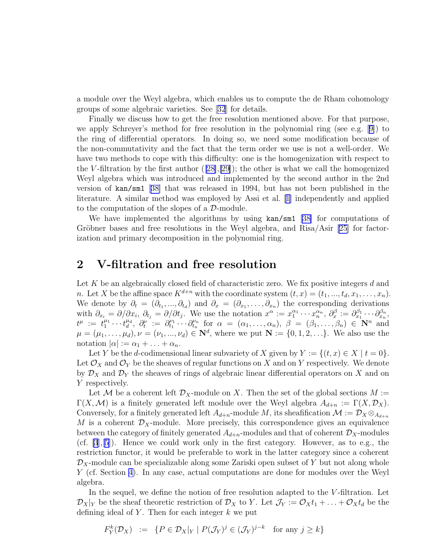<span id="page-2-0"></span>a module over the Weyl algebra, which enables us to compute the de Rham cohomology groups of some algebraic varieties. See[[32](#page-35-0)] for details.

Finally we discuss how to get the free resolution mentioned above. For that purpose, we apply Schreyer's method for free resolution in the polynomial ring (see e.g.[[9\]](#page-34-0)) to the ring of differential operators. In doing so, we need some modification because of the non-commutativity and the fact that the term order we use is not a well-order. We have two methods to cope with this difficulty: one is the homogenization with respect to the V-filtration by the first author  $([28],[29])$  $([28],[29])$  $([28],[29])$  $([28],[29])$  $([28],[29])$ ; the other is what we call the homogenized Weyl algebra which was introduced and implemented by the second author in the 2nd version of kan/sm1 [[38\]](#page-36-0) that was released in 1994, but has not been published in the literature. A similar method was employed by Assi et al.[[1\]](#page-33-0) independently and applied to the computation of the slopes of a D-module.

We have implemented the algorithms by using  $\text{kan/sm1}$  [[38\]](#page-36-0) for computations of Gröbner bases and free resolutions in the Weyl algebra, and Risa/Asir  $[25]$  for factorization and primary decomposition in the polynomial ring.

#### 2 V-filtration and free resolution

Let  $K$  be an algebraically closed field of characteristic zero. We fix positive integers  $d$  and n. Let X be the affine space  $K^{d+n}$  with the coordinate system  $(t, x) = (t_1, ..., t_d, x_1, ..., x_n)$ . We denote by  $\partial_t = (\partial_{t_1}, ..., \partial_{t_d})$  and  $\partial_x = (\partial_{x_1}, ..., \partial_{x_n})$  the corresponding derivations with  $\partial_{x_i} = \partial/\partial x_i$ ,  $\partial_{t_j} = \partial/\partial t_j$ . We use the notation  $x^{\alpha} := x_1^{\alpha_1} \cdots x_n^{\alpha_n}$ ,  $\partial_x^{\beta} := \partial_{x_1}^{\beta_1} \cdots \partial_{x_n}^{\beta_n}$ ,  $t^{\mu} := t_1^{\mu_1} \cdots t_d^{\mu_d}, \ \partial_t^{\nu} := \partial_{t_1}^{\nu_1} \cdots \partial_{t_n}^{\nu_n}$  for  $\alpha = (\alpha_1, \ldots, \alpha_n), \ \beta = (\beta_1, \ldots, \beta_n) \in \mathbb{N}^n$  and  $\mu = (\mu_1, \ldots, \mu_d), \nu = (\nu_1, \ldots, \nu_d) \in \mathbb{N}^d$ , where we put  $\mathbb{N} := \{0, 1, 2, \ldots\}$ . We also use the notation  $|\alpha| := \alpha_1 + \ldots + \alpha_n$ .

Let Y be the d-codimensional linear subvariety of X given by  $Y := \{(t, x) \in X \mid t = 0\}.$ Let  $\mathcal{O}_X$  and  $\mathcal{O}_Y$  be the sheaves of regular functions on X and on Y respectively. We denote by  $\mathcal{D}_X$  and  $\mathcal{D}_Y$  the sheaves of rings of algebraic linear differential operators on X and on Y respectively.

Let M be a coherent left  $\mathcal{D}_X$ -module on X. Then the set of the global sections  $M :=$  $\Gamma(X,\mathcal{M})$  is a finitely generated left module over the Weyl algebra  $A_{d+n} := \Gamma(X,\mathcal{D}_X)$ . Conversely, for a finitely generated left  $A_{d+n}$ -module M, its sheafification  $\mathcal{M} := \mathcal{D}_X \otimes_{A_{d+n}}$ M is a coherent  $\mathcal{D}_X$ -module. More precisely, this correspondence gives an equivalence between the category of finitely generated  $A_{d+n}$ -modules and that of coherent  $\mathcal{D}_X$ -modules (cf.  $[3],[5]$  $[3],[5]$ ). Hence we could work only in the first category. However, as to e.g., the restriction functor, it would be preferable to work in the latter category since a coherent  $\mathcal{D}_X$ -module can be specializable along some Zariski open subset of Y but not along whole Y (cf. Section [4\)](#page-8-0). In any case, actual computations are done for modules over the Weyl algebra.

In the sequel, we define the notion of free resolution adapted to the V-filtration. Let  $\mathcal{D}_X|_Y$  be the sheaf theoretic restriction of  $\mathcal{D}_X$  to Y. Let  $\mathcal{J}_Y := \mathcal{O}_X t_1 + \ldots + \mathcal{O}_X t_d$  be the defining ideal of Y. Then for each integer  $k$  we put

$$
F_Y^k(\mathcal{D}_X) := \{ P \in \mathcal{D}_X | Y \mid P(\mathcal{J}_Y)^j \in (\mathcal{J}_Y)^{j-k} \text{ for any } j \ge k \}
$$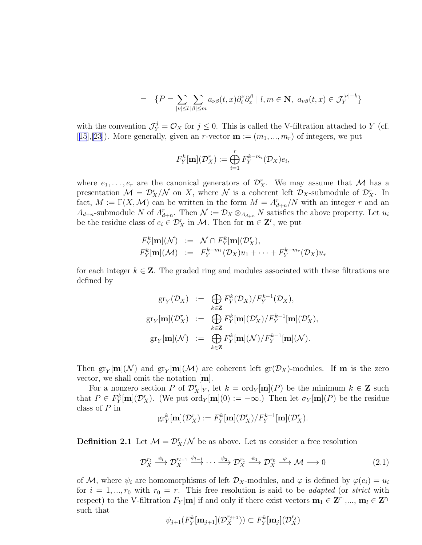$$
= \{ P = \sum_{|\nu| \le l} \sum_{|\beta| \le m} a_{\nu\beta}(t, x) \partial_t^{\nu} \partial_x^{\beta} | l, m \in \mathbf{N}, a_{\nu\beta}(t, x) \in \mathcal{J}_Y^{|\nu| - k} \}
$$

<span id="page-3-0"></span>with the convention  $\mathcal{J}_Y^j = \mathcal{O}_X$  for  $j \leq 0$ . This is called the V-filtration attached to Y (cf. [[15](#page-34-0)], [\[23\]](#page-35-0)). More generally, given an r-vector  $\mathbf{m} := (m_1, ..., m_r)$  of integers, we put

$$
F_Y^k[\mathbf{m}](\mathcal{D}_X^r) := \bigoplus_{i=1}^r F_Y^{k-m_i}(\mathcal{D}_X)e_i,
$$

where  $e_1, \ldots, e_r$  are the canonical generators of  $\mathcal{D}_X^r$ . We may assume that M has a presentation  $\mathcal{M} = \mathcal{D}_X^r/\mathcal{N}$  on X, where  $\mathcal{N}$  is a coherent left  $\mathcal{D}_X$ -submodule of  $\mathcal{D}_X^r$ . In fact,  $M := \Gamma(X, \mathcal{M})$  can be written in the form  $M = A_{d+n}^r/N$  with an integer r and an  $A_{d+n}$ -submodule N of  $A_{d+n}^r$ . Then  $\mathcal{N} := \mathcal{D}_X \otimes_{A_{d+n}} N$  satisfies the above property. Let  $u_i$ be the residue class of  $e_i \in \mathcal{D}_X^r$  in M. Then for  $\mathbf{m} \in \mathbf{Z}^r$ , we put

$$
F_Y^k[\mathbf{m}](\mathcal{N}) := \mathcal{N} \cap F_Y^k[\mathbf{m}](\mathcal{D}_X^r),
$$
  
\n
$$
F_Y^k[\mathbf{m}](\mathcal{M}) := F_Y^{k-m_1}(\mathcal{D}_X)u_1 + \cdots + F_Y^{k-m_r}(\mathcal{D}_X)u_r
$$

for each integer  $k \in \mathbb{Z}$ . The graded ring and modules associated with these filtrations are defined by

$$
\begin{array}{rcl}\n\operatorname{gr}_Y(\mathcal{D}_X) & := & \bigoplus_{k \in \mathbf{Z}} F_Y^k(\mathcal{D}_X) / F_Y^{k-1}(\mathcal{D}_X), \\
\operatorname{gr}_Y[\mathbf{m}](\mathcal{D}_X^r) & := & \bigoplus_{k \in \mathbf{Z}} F_Y^k[\mathbf{m}](\mathcal{D}_X^r) / F_Y^{k-1}[\mathbf{m}](\mathcal{D}_X^r), \\
\operatorname{gr}_Y[\mathbf{m}](\mathcal{N}) & := & \bigoplus_{k \in \mathbf{Z}} F_Y^k[\mathbf{m}](\mathcal{N}) / F_Y^{k-1}[\mathbf{m}](\mathcal{N}).\n\end{array}
$$

Then  $gr_Y[m](\mathcal{N})$  and  $gr_Y[m](\mathcal{M})$  are coherent left  $gr(\mathcal{D}_X)$ -modules. If **m** is the zero vector, we shall omit the notation [m].

For a nonzero section P of  $\mathcal{D}_X^r|_Y$ , let  $k = \text{ord}_Y[\mathbf{m}](P)$  be the minimum  $k \in \mathbf{Z}$  such that  $P \in F_Y^k[\mathbf{m}](\mathcal{D}_X^r)$ . (We put ord<sub>Y</sub> $[\mathbf{m}](0) := -\infty$ .) Then let  $\sigma_Y[\mathbf{m}](P)$  be the residue class of P in

$$
\mathrm{gr}^k_Y[\mathbf{m}](\mathcal{D}_X^r) := F^k_Y[\mathbf{m}](\mathcal{D}_X^r) / F^{k-1}_Y[\mathbf{m}](\mathcal{D}_X^r).
$$

**Definition 2.1** Let  $\mathcal{M} = \mathcal{D}_X^r / \mathcal{N}$  be as above. Let us consider a free resolution

$$
\mathcal{D}_X^{r_l} \xrightarrow{\psi_l} \mathcal{D}_X^{r_{l-1}} \xrightarrow{\psi_{l-1}} \cdots \xrightarrow{\psi_2} \mathcal{D}_X^{r_1} \xrightarrow{\psi_1} \mathcal{D}_X^{r_0} \xrightarrow{\varphi} \mathcal{M} \longrightarrow 0
$$
\n(2.1)

of M, where  $\psi_i$  are homomorphisms of left  $\mathcal{D}_X$ -modules, and  $\varphi$  is defined by  $\varphi(e_i) = u_i$ for  $i = 1, ..., r_0$  with  $r_0 = r$ . This free resolution is said to be *adapted* (or *strict* with respect) to the V-filtration  $F_Y[\mathbf{m}]$  if and only if there exist vectors  $\mathbf{m}_1 \in \mathbf{Z}^{r_1}, \dots, \mathbf{m}_l \in \mathbf{Z}^{r_l}$ such that

$$
\psi_{j+1}(F_Y^k[\mathbf{m}_{j+1}](\mathcal{D}_X^{r_{j+1}}))\subset F_Y^k[\mathbf{m}_{j}](\mathcal{D}_X^{r_j})
$$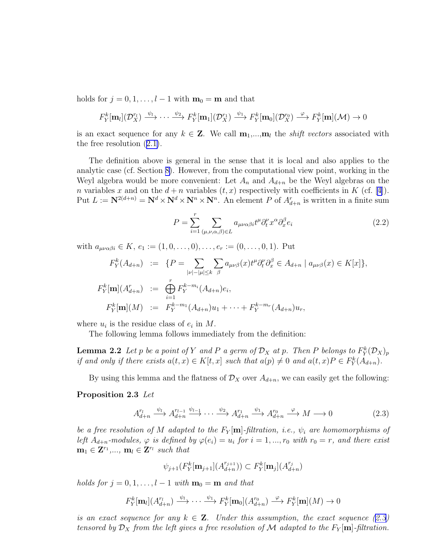<span id="page-4-0"></span>holds for  $j = 0, 1, \ldots, l - 1$  with  $\mathbf{m}_0 = \mathbf{m}$  and that

$$
F_Y^k[\mathbf{m}_l](\mathcal{D}_X^{r_l}) \xrightarrow{\psi_l} \cdots \xrightarrow{\psi_2} F_Y^k[\mathbf{m}_1](\mathcal{D}_X^{r_l}) \xrightarrow{\psi_1} F_Y^k[\mathbf{m}_0](\mathcal{D}_X^{r_0}) \xrightarrow{\varphi} F_Y^k[\mathbf{m}](\mathcal{M}) \to 0
$$

is an exact sequence for any  $k \in \mathbb{Z}$ . We call  $\mathbf{m}_1, ..., \mathbf{m}_l$  the *shift vectors* associated with the free resolution([2.1\)](#page-3-0).

The definition above is general in the sense that it is local and also applies to the analytic case (cf. Section [8\)](#page-24-0). However, from the computational view point, working in the Weyl algebra would be more convenient: Let  $A_n$  and  $A_{d+n}$  be the Weyl algebras on the *n*variables x and on the  $d + n$  variables  $(t, x)$  respectively with coefficients in K (cf. [[4\]](#page-34-0)). Put  $L := \mathbf{N}^{2(d+n)} = \mathbf{N}^d \times \mathbf{N}^d \times \mathbf{N}^n \times \mathbf{N}^n$ . An element P of  $A_{d+n}^r$  is written in a finite sum

$$
P = \sum_{i=1}^{r} \sum_{(\mu,\nu,\alpha,\beta)\in L} a_{\mu\nu\alpha\beta i} t^{\mu} \partial_t^{\nu} x^{\alpha} \partial_x^{\beta} e_i
$$
 (2.2)

with  $a_{\mu\nu\alpha\beta i} \in K$ ,  $e_1 := (1, 0, \ldots, 0), \ldots, e_r := (0, \ldots, 0, 1)$ . Put

$$
F_Y^k(A_{d+n}) := \{ P = \sum_{|\nu| - |\mu| \le k} \sum_{\beta} a_{\mu\nu\beta}(x) t^{\mu} \partial_t^{\nu} \partial_x^{\beta} \in A_{d+n} \mid a_{\mu\nu\beta}(x) \in K[x] \},
$$
  

$$
F_Y^k[\mathbf{m}](A_{d+n}^r) := \bigoplus_{i=1}^r F_Y^{k-m_i}(A_{d+n})e_i,
$$
  

$$
F_Y^k[\mathbf{m}](M) := F_Y^{k-m_1}(A_{d+n})u_1 + \dots + F_Y^{k-m_r}(A_{d+n})u_r,
$$

where  $u_i$  is the residue class of  $e_i$  in M.

The following lemma follows immediately from the definition:

**Lemma 2.2** Let p be a point of Y and P a germ of  $\mathcal{D}_X$  at p. Then P belongs to  $F^k_Y(\mathcal{D}_X)_p$ *if and only if there exists*  $a(t, x) \in K[t, x]$  *such that*  $a(p) \neq 0$  *and*  $a(t, x)P \in F_Y^k(A_{d+n})$ *.* 

By using this lemma and the flatness of  $\mathcal{D}_X$  over  $A_{d+n}$ , we can easily get the following:

#### Proposition 2.3 *Let*

$$
A_{d+n}^{r_l} \xrightarrow{\psi_l} A_{d+n}^{r_{l-1}} \xrightarrow{\psi_{l-1}} \cdots \xrightarrow{\psi_2} A_{d+n}^{r_1} \xrightarrow{\psi_1} A_{d+n}^{r_0} \xrightarrow{\varphi} M \longrightarrow 0
$$
 (2.3)

*be a free resolution of* M *adapted to the*  $F_Y[\mathbf{m}]$ -filtration, i.e.,  $\psi_i$  are homomorphisms of *left*  $A_{d+n}$ -modules,  $\varphi$  *is defined by*  $\varphi(e_i) = u_i$  for  $i = 1, ..., r_0$  with  $r_0 = r$ , and there exist  $\mathbf{m}_1 \in \mathbf{Z}^{r_1}, \dots, \mathbf{m}_l \in \mathbf{Z}^{r_l}$  such that

$$
\psi_{j+1}(F^k_Y[\mathbf{m}_{j+1}](A^{r_{j+1}}_{d+n})) \subset F^k_Y[\mathbf{m}_j](A^{r_j}_{d+n})
$$

*holds for*  $j = 0, 1, \ldots, l - 1$  *with*  $\mathbf{m}_0 = \mathbf{m}$  *and that* 

$$
F_Y^k[\mathbf{m}_l](A_{d+n}^{r_l}) \xrightarrow{\psi_l} \cdots \xrightarrow{\psi_1} F_Y^k[\mathbf{m}_0](A_{d+n}^{r_0}) \xrightarrow{\varphi} F_Y^k[\mathbf{m}](M) \to 0
$$

*is an exact sequence for any*  $k \in \mathbb{Z}$ . Under this assumption, the exact sequence (2.3) *tensored by*  $\mathcal{D}_X$  *from the left gives a free resolution of* M *adapted to the*  $F_Y[\mathbf{m}]$ *-filtration.*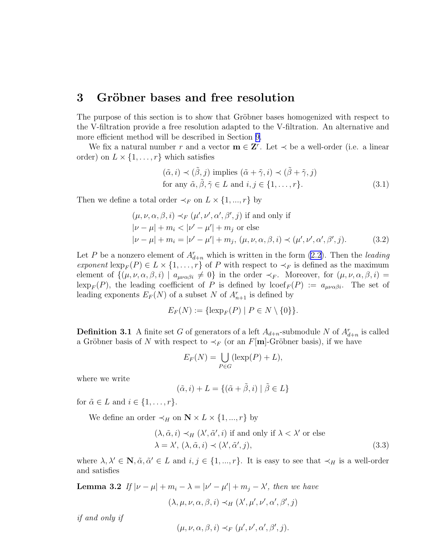#### <span id="page-5-0"></span>3 Gröbner bases and free resolution

The purpose of this section is to show that Gröbner bases homogenized with respect to the V-filtration provide a free resolution adapted to the V-filtration. An alternative and more efficient method will be described in Section [9.](#page-26-0)

We fix a natural number r and a vector  $\mathbf{m} \in \mathbf{Z}^r$ . Let  $\prec$  be a well-order (i.e. a linear order) on  $L \times \{1, \ldots, r\}$  which satisfies

$$
(\tilde{\alpha}, i) \prec (\tilde{\beta}, j) \text{ implies } (\tilde{\alpha} + \tilde{\gamma}, i) \prec (\tilde{\beta} + \tilde{\gamma}, j)
$$
  
for any  $\tilde{\alpha}, \tilde{\beta}, \tilde{\gamma} \in L$  and  $i, j \in \{1, ..., r\}.$  (3.1)

Then we define a total order  $\prec_F$  on  $L \times \{1, ..., r\}$  by

$$
(\mu, \nu, \alpha, \beta, i) \prec_F (\mu', \nu', \alpha', \beta', j) \text{ if and only if}
$$
  
\n
$$
|\nu - \mu| + m_i < |\nu' - \mu'| + m_j \text{ or else}
$$
  
\n
$$
|\nu - \mu| + m_i = |\nu' - \mu'| + m_j, (\mu, \nu, \alpha, \beta, i) \prec (\mu', \nu', \alpha', \beta', j).
$$
 (3.2)

Let P be a nonzero element of  $A_{d+n}^r$  which is written in the form  $(2.2)$ . Then the *leading exponent*  $\text{lexp}_F(P) \in L \times \{1, ..., r\}$  of P with respect to  $\prec_F$  is defined as the maximum element of  $\{(\mu, \nu, \alpha, \beta, i) \mid a_{\mu\nu\alpha\beta i} \neq 0\}$  in the order  $\prec_F$ . Moreover, for  $(\mu, \nu, \alpha, \beta, i)$  $\operatorname{lexp}_F(P)$ , the leading coefficient of P is defined by  $\operatorname{locef}_F(P) := a_{\mu\nu\alpha\beta i}$ . The set of leading exponents  $E_F(N)$  of a subset N of  $A_{n+1}^r$  is defined by

$$
E_F(N) := \{ \operatorname{lexp}_F(P) \mid P \in N \setminus \{0\} \}.
$$

**Definition 3.1** A finite set G of generators of a left  $A_{d+n}$ -submodule N of  $A_{d+n}^r$  is called a Gröbner basis of N with respect to  $\prec_F$  (or an F[m]-Gröbner basis), if we have

$$
E_F(N) = \bigcup_{P \in G} (\text{lexp}(P) + L),
$$

where we write

$$
(\tilde{\alpha}, i) + L = \{ (\tilde{\alpha} + \tilde{\beta}, i) \mid \tilde{\beta} \in L \}
$$

for  $\tilde{\alpha} \in L$  and  $i \in \{1, \ldots, r\}.$ 

We define an order  $\prec_H$  on  $\mathbb{N} \times L \times \{1, ..., r\}$  by

$$
(\lambda, \tilde{\alpha}, i) \prec_H (\lambda', \tilde{\alpha}', i) \text{ if and only if } \lambda < \lambda' \text{ or else}
$$
  

$$
\lambda = \lambda', (\lambda, \tilde{\alpha}, i) \prec (\lambda', \tilde{\alpha}', j),
$$
 (3.3)

where  $\lambda, \lambda' \in \mathbb{N}, \tilde{\alpha}, \tilde{\alpha}' \in L$  and  $i, j \in \{1, ..., r\}$ . It is easy to see that  $\prec_H$  is a well-order and satisfies

**Lemma 3.2** If  $|\nu - \mu| + m_i - \lambda = |\nu' - \mu'| + m_j - \lambda'$ , then we have  $(\lambda, \mu, \nu, \alpha, \beta, i) \prec_H (\lambda', \mu', \nu', \alpha', \beta', j)$ 

*if and only if*

$$
(\mu, \nu, \alpha, \beta, i) \prec_F (\mu', \nu', \alpha', \beta', j).
$$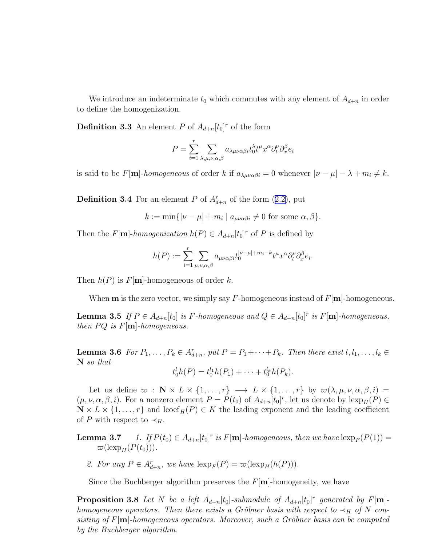We introduce an indeterminate  $t_0$  which commutes with any element of  $A_{d+n}$  in order to define the homogenization.

**Definition 3.3** An element P of  $A_{d+n}[t_0]^r$  of the form

$$
P = \sum_{i=1}^{r} \sum_{\lambda,\mu,\nu,\alpha,\beta} a_{\lambda\mu\nu\alpha\beta i} t_0^{\lambda} t^{\mu} x^{\alpha} \partial_t^{\nu} \partial_x^{\beta} e_i
$$

is said to be  $F[\mathbf{m}]$ -*homogeneous* of order k if  $a_{\lambda\mu\nu\alpha\beta i} = 0$  whenever  $|\nu - \mu| - \lambda + m_i \neq k$ .

**Definition3.4** For an element P of  $A_{d+n}^r$  of the form ([2.2\)](#page-4-0), put

$$
k := \min\{|\nu - \mu| + m_i \mid a_{\mu\nu\alpha\beta i} \neq 0 \text{ for some } \alpha, \beta\}.
$$

Then the  $F[\mathbf{m}]$ -homogenization  $h(P) \in A_{d+n}[t_0]^r$  of P is defined by

$$
h(P) := \sum_{i=1}^r \sum_{\mu,\nu,\alpha,\beta} a_{\mu\nu\alpha\beta i} t_0^{|\nu-\mu|+m_i-k} t^{\mu} x^{\alpha} \partial_t^{\nu} \partial_x^{\beta} e_i.
$$

Then  $h(P)$  is  $F[\mathbf{m}]$ -homogeneous of order k.

When **m** is the zero vector, we simply say F-homogeneous instead of  $F[\mathbf{m}]$ -homogeneous.

**Lemma 3.5** If  $P \in A_{d+n}[t_0]$  is F-homogeneous and  $Q \in A_{d+n}[t_0]^r$  is F[**m**]-homogeneous, *then*  $PQ$  *is*  $F[m]$ *-homogeneous.* 

**Lemma 3.6** For  $P_1, \ldots, P_k \in A_{d+n}^r$ , put  $P = P_1 + \cdots + P_k$ . Then there exist  $l, l_1, \ldots, l_k \in A_{d+n}^r$ N *so that*

$$
t_0^l h(P) = t_0^{l_1} h(P_1) + \cdots + t_0^{l_k} h(P_k).
$$

Let us define  $\varpi : \mathbb{N} \times L \times \{1, ..., r\} \longrightarrow L \times \{1, ..., r\}$  by  $\varpi(\lambda, \mu, \nu, \alpha, \beta, i) =$  $(\mu, \nu, \alpha, \beta, i)$ . For a nonzero element  $P = P(t_0)$  of  $A_{d+n}[t_0]^r$ , let us denote by  $\text{lexp}_H(P) \in$  $\mathbb{N} \times L \times \{1, \ldots, r\}$  and lcoef<sub>H</sub>(P)  $\in K$  the leading exponent and the leading coefficient of P with respect to  $\prec_H$ .

**Lemma 3.7** *1.* If  $P(t_0) \in A_{d+n}[t_0]^r$  is  $F[\mathbf{m}]$ -homogeneous, then we have  $\text{exp}_F(P(1)) =$  $\varpi(\text{lexp}_H(P(t_0))).$ 

2. For any  $P \in A_{d+n}^r$ , we have  $\text{lexp}_F(P) = \varpi(\text{lexp}_H(h(P))).$ 

Since the Buchberger algorithm preserves the  $F[\mathbf{m}]$ -homogeneity, we have

**Proposition 3.8** Let N be a left  $A_{d+n}[t_0]$ -submodule of  $A_{d+n}[t_0]$ <sup>r</sup> generated by  $F[\mathbf{m}]$ *homogeneous operators. Then there exists a Gröbner basis with respect to*  $\prec_H$  *of* N *consisting of* F[m]-homogeneous operators. Moreover, such a Gröbner basis can be computed *by the Buchberger algorithm.*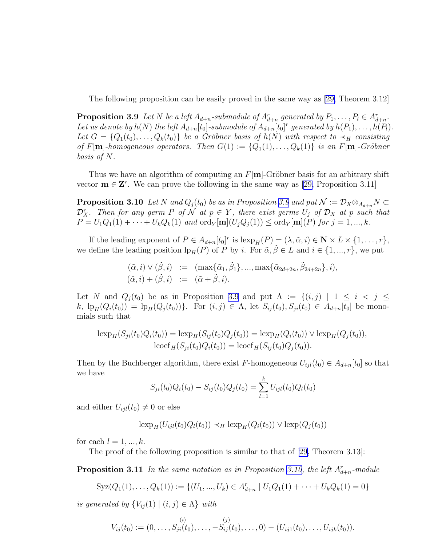<span id="page-7-0"></span>The following proposition can be easily proved in the same way as [\[29,](#page-35-0) Theorem 3.12]

**Proposition 3.9** Let N be a left  $A_{d+n}$ -submodule of  $A_{d+n}^r$  generated by  $P_1, \ldots, P_l \in A_{d+n}^r$ . Let us denote by  $h(N)$  the left  $A_{d+n}[t_0]$ -submodule of  $A_{d+n}[t_0]$ <sup>r</sup> generated by  $h(P_1), \ldots, h(P_l)$ . Let  $G = \{Q_1(t_0), \ldots, Q_k(t_0)\}\$ be a Gröbner basis of  $h(N)$  with respect to  $\prec_H$  consisting *of*  $F[\mathbf{m}]$ -homogeneous operators. Then  $G(1) := \{Q_1(1), \ldots, Q_k(1)\}$  is an  $F[\mathbf{m}]$ -Gröbner *basis of* N*.*

Thus we have an algorithm of computing an  $F[\mathbf{m}]$ -Gröbner basis for an arbitrary shift vector $\mathbf{m} \in \mathbf{Z}^r$ . We can prove the following in the same way as [[29,](#page-35-0) Proposition 3.11]

**Proposition 3.10** *Let* N and  $Q_j(t_0)$  *be as in Proposition 3.9 and put*  $\mathcal{N} := \mathcal{D}_X \otimes_{A_{d+n}} N \subset$  $\mathcal{D}_X^r$ . Then for any germ P of N at  $p \in Y$ , there exist germs  $U_j$  of  $\mathcal{D}_X$  at p such that  $P = U_1 Q_1(1) + \cdots + U_k Q_k(1)$  *and* ord<sub>Y</sub> [**m**]( $U_j Q_j(1)$ )  $\leq$  ord<sub>Y</sub> [**m**](*P*) *for*  $j = 1, ..., k$ *.* 

If the leading exponent of  $P \in A_{d+n}[t_0]^r$  is  $\text{lexp}_H(P) = (\lambda, \tilde{\alpha}, i) \in \mathbb{N} \times L \times \{1, \ldots, r\},$ we define the leading position  $\text{lp}_H(P)$  of P by i. For  $\tilde{\alpha}, \tilde{\beta} \in L$  and  $i \in \{1, ..., r\}$ , we put

$$
(\tilde{\alpha}, i) \vee (\tilde{\beta}, i) := (\max{\{\tilde{\alpha}_1, \tilde{\beta}_1\}}, ..., \max{\{\tilde{\alpha}_{2d+2n}, \tilde{\beta}_{2d+2n}\}}, i),
$$
  

$$
(\tilde{\alpha}, i) + (\tilde{\beta}, i) := (\tilde{\alpha} + \tilde{\beta}, i).
$$

Let N and  $Q_i(t_0)$  be as in Proposition 3.9 and put  $\Lambda := \{(i,j) | 1 \le i < j \le n\}$  $k, \text{lp}_{H}(Q_i(t_0)) = \text{lp}_{H}(Q_j(t_0))\}.$  For  $(i, j) \in \Lambda$ , let  $S_{ij}(t_0), S_{ji}(t_0) \in A_{d+n}[t_0]$  be monomials such that

$$
\text{lexp}_{H}(S_{ji}(t_0)Q_i(t_0)) = \text{lexp}_{H}(S_{ij}(t_0)Q_j(t_0)) = \text{lexp}_{H}(Q_i(t_0)) \vee \text{lexp}_{H}(Q_j(t_0)),
$$
  

$$
\text{locef}_{H}(S_{ji}(t_0)Q_i(t_0)) = \text{locef}_{H}(S_{ij}(t_0)Q_j(t_0)).
$$

Then by the Buchberger algorithm, there exist F-homogeneous  $U_{ijl}(t_0) \in A_{d+n}[t_0]$  so that we have

$$
S_{ji}(t_0)Q_i(t_0) - S_{ij}(t_0)Q_j(t_0) = \sum_{l=1}^k U_{ijl}(t_0)Q_l(t_0)
$$

and either  $U_{ijl}(t_0) \neq 0$  or else

$$
\operatorname{lexp}_{H}(U_{ijl}(t_0)Q_{l}(t_0)) \prec_{H} \operatorname{lexp}_{H}(Q_{i}(t_0)) \lor \operatorname{lexp}(Q_{j}(t_0))
$$

for each  $l = 1, ..., k$ .

The proof of the following proposition is similar to that of [\[29](#page-35-0), Theorem 3.13]:

**Proposition 3.11** In the same notation as in Proposition 3.10, the left  $A_{d+n}^r$ -module

$$
Syz(Q_1(1),...,Q_k(1)) := \{ (U_1,...,U_k) \in A_{d+n}^r \mid U_1Q_1(1) + \cdots + U_kQ_k(1) = 0 \}
$$

*is generated by*  $\{V_{ij}(1) | (i, j) \in \Lambda\}$  *with* 

$$
V_{ij}(t_0) := (0,\ldots,S_{ji}(t_0),\ldots,-S_{ij}(t_0),\ldots,0) - (U_{ij1}(t_0),\ldots,U_{ijk}(t_0)).
$$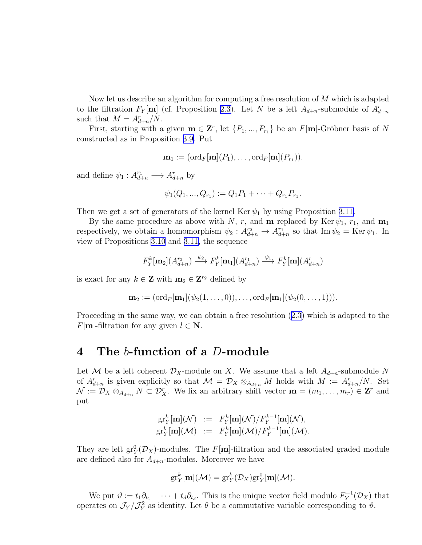<span id="page-8-0"></span>Now let us describe an algorithm for computing a free resolution of M which is adapted to the filtration  $F_Y[\mathbf{m}]$  (cf. Proposition [2.3\)](#page-4-0). Let N be a left  $A_{d+n}$ -submodule of  $A_{d+n}^r$ such that  $M = A_{d+n}^r/N$ .

First, starting with a given  $\mathbf{m} \in \mathbf{Z}^r$ , let  $\{P_1, ..., P_{r_1}\}$  be an  $F[\mathbf{m}]$ -Gröbner basis of N constructed as in Proposition [3.9.](#page-7-0) Put

$$
\mathbf{m}_1 := (\mathrm{ord}_F[\mathbf{m}](P_1), \ldots, \mathrm{ord}_F[\mathbf{m}](P_{r_1})).
$$

and define  $\psi_1: A^{r_1}_{d+n} \longrightarrow A^{r}_{d+n}$  by

$$
\psi_1(Q_1, ..., Q_{r_1}) := Q_1 P_1 + \cdots + Q_{r_1} P_{r_1}.
$$

Then we get a set of generators of the kernel Ker  $\psi_1$  by using Proposition [3.11.](#page-7-0)

By the same procedure as above with N, r, and **m** replaced by Ker  $\psi_1$ ,  $r_1$ , and **m**<sub>1</sub> respectively, we obtain a homomorphism  $\psi_2: A^{r_2}_{d+n} \to A^{r_1}_{d+n}$  so that  $\text{Im } \psi_2 = \text{Ker } \psi_1$ . In view of Propositions [3.10](#page-7-0) and [3.11,](#page-7-0) the sequence

$$
F_Y^k[\mathbf{m}_2](A_{d+n}^{r_2}) \xrightarrow{\psi_2} F_Y^k[\mathbf{m}_1](A_{d+n}^{r_1}) \xrightarrow{\psi_1} F_Y^k[\mathbf{m}](A_{d+n}^{r})
$$

is exact for any  $k \in \mathbb{Z}$  with  $\mathbf{m}_2 \in \mathbb{Z}^{r_2}$  defined by

$$
\mathbf{m}_2 := (\mathrm{ord}_F[\mathbf{m}_1](\psi_2(1,\ldots,0)),\ldots,\mathrm{ord}_F[\mathbf{m}_1](\psi_2(0,\ldots,1))).
$$

Proceeding in the same way, we can obtain a free resolution([2.3\)](#page-4-0) which is adapted to the  $F[\mathbf{m}]$ -filtration for any given  $l \in \mathbf{N}$ .

#### 4 The b-function of a D-module

Let M be a left coherent  $\mathcal{D}_X$ -module on X. We assume that a left  $A_{d+n}$ -submodule N of  $A_{d+n}^r$  is given explicitly so that  $\mathcal{M} = \mathcal{D}_X \otimes_{A_{d+n}} M$  holds with  $M := A_{d+n}^r/N$ . Set  $\mathcal{N} := \mathcal{D}_X \otimes_{A_{d+n}} N \subset \mathcal{D}_X^r$ . We fix an arbitrary shift vector  $\mathbf{m} = (m_1, \ldots, m_r) \in \mathbf{Z}^r$  and put

$$
\begin{array}{rcl}\n\operatorname{gr}^k_Y[\mathbf{m}](\mathcal{N}) & := & F^k_Y[\mathbf{m}](\mathcal{N})/F^{k-1}_Y[\mathbf{m}](\mathcal{N}), \\
\operatorname{gr}^k_Y[\mathbf{m}](\mathcal{M}) & := & F^k_Y[\mathbf{m}](\mathcal{M})/F^{k-1}_Y[\mathbf{m}](\mathcal{M}).\n\end{array}
$$

They are left  $gr_Y^0(\mathcal{D}_X)$ -modules. The F[m]-filtration and the associated graded module are defined also for  $A_{d+n}$ -modules. Moreover we have

$$
\mathrm{gr}^k_Y[\mathbf{m}](\mathcal{M}) = \mathrm{gr}^k_Y(\mathcal{D}_X)\mathrm{gr}^0_Y[\mathbf{m}](\mathcal{M}).
$$

We put  $\vartheta := t_1 \partial_{t_1} + \cdots + t_d \partial_{t_d}$ . This is the unique vector field modulo  $F_Y^{-1}(\mathcal{D}_X)$  that operates on  $\mathcal{J}_Y/\mathcal{J}_Y^2$  as identity. Let  $\theta$  be a commutative variable corresponding to  $\vartheta$ .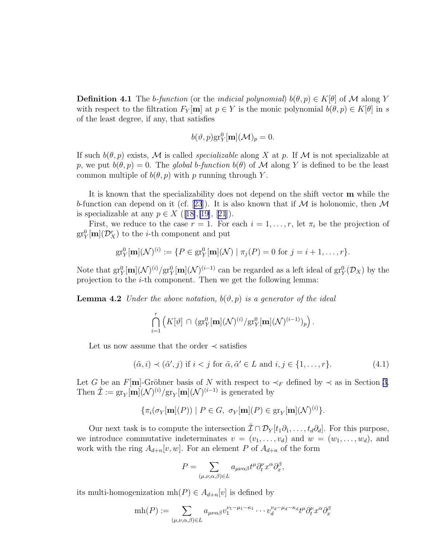<span id="page-9-0"></span>**Definition 4.1** The *b*-function (or the *indicial polynomial*)  $b(\theta, p) \in K[\theta]$  of M along Y with respect to the filtration  $F_Y[\mathbf{m}]$  at  $p \in Y$  is the monic polynomial  $b(\theta, p) \in K[\theta]$  in s of the least degree, if any, that satisfies

$$
b(\vartheta,p) \text{gr}_Y^0[\mathbf{m}](\mathcal{M})_p = 0.
$$

If such  $b(\theta, p)$  exists, M is called *specializable* along X at p. If M is not specializable at p, we put  $b(\theta, p) = 0$ . The *global* b-function  $b(\theta)$  of M along Y is defined to be the least common multiple of  $b(\theta, p)$  with p running through Y.

It is known that the specializability does not depend on the shift vector m while the b-functioncan depend on it (cf. [[23](#page-35-0)]). It is also known that if  $M$  is holonomic, then  $M$ isspecializable at any  $p \in X$  ([[18\]](#page-34-0),[\[19\]](#page-34-0), [[21](#page-35-0)]).

First, we reduce to the case  $r = 1$ . For each  $i = 1, \ldots, r$ , let  $\pi_i$  be the projection of  $\mathrm{gr}^0_Y[\mathbf{m}](\mathcal{D}_X^r)$  to the *i*-th component and put

$$
\mathrm{gr}^0_Y[\mathbf{m}](\mathcal{N})^{(i)} := \{ P \in \mathrm{gr}^0_Y[\mathbf{m}](\mathcal{N}) \mid \pi_j(P) = 0 \text{ for } j = i+1,\ldots,r \}.
$$

Note that  $gr_Y^0[\mathbf{m}](\mathcal{N})^{(i)}/gr_Y^0[\mathbf{m}](\mathcal{N})^{(i-1)}$  can be regarded as a left ideal of  $gr_Y^0(\mathcal{D}_X)$  by the projection to the  $i$ -th component. Then we get the following lemma:

**Lemma 4.2** *Under the above notation,*  $b(\vartheta, p)$  *is a generator of the ideal* 

$$
\bigcap_{i=1}^r \left( K[\vartheta] \, \cap \, (\text{gr}_Y^0[\mathbf{m}](\mathcal{N})^{(i)}/\text{gr}_Y^0[\mathbf{m}](\mathcal{N})^{(i-1)})_p \right).
$$

Let us now assume that the order  $\prec$  satisfies

$$
(\tilde{\alpha}, i) \prec (\tilde{\alpha}', j) \text{ if } i < j \text{ for } \tilde{\alpha}, \tilde{\alpha}' \in L \text{ and } i, j \in \{1, \dots, r\}. \tag{4.1}
$$

Let G be an F[m]-Gröbner basis of N with respect to  $\prec_F$  defined by  $\prec$  as in Section [3.](#page-5-0) Then  $\hat{\mathcal{I}} := \text{gr}_Y[\mathbf{m}](\mathcal{N})^{(i)} / \text{gr}_Y[\mathbf{m}](\mathcal{N})^{(i-1)}$  is generated by

$$
\{\pi_i(\sigma_Y[\mathbf{m}](P)) \mid P \in G, \ \sigma_Y[\mathbf{m}](P) \in \text{gr}_Y[\mathbf{m}](\mathcal{N})^{(i)}\}.
$$

Our next task is to compute the intersection  $\hat{\mathcal{I}} \cap \mathcal{D}_Y[t_1 \partial_1, \ldots, t_d \partial_d]$ . For this purpose, we introduce commutative indeterminates  $v = (v_1, \ldots, v_d)$  and  $w = (w_1, \ldots, w_d)$ , and work with the ring  $A_{d+n}[v, w]$ . For an element P of  $A_{d+n}$  of the form

$$
P = \sum_{(\mu,\nu,\alpha,\beta)\in L} a_{\mu\nu\alpha\beta} t^{\mu} \partial_t^{\nu} x^{\alpha} \partial_x^{\beta},
$$

its multi-homogenization  $mh(P) \in A_{d+n}[v]$  is defined by

$$
mh(P) := \sum_{(\mu,\nu,\alpha,\beta)\in L} a_{\mu\nu\alpha\beta} v_1^{\nu_1-\mu_1-\kappa_1} \cdots v_d^{\nu_d-\mu_d-\kappa_d} t^{\mu} \partial_t^{\nu} x^{\alpha} \partial_x^{\beta}
$$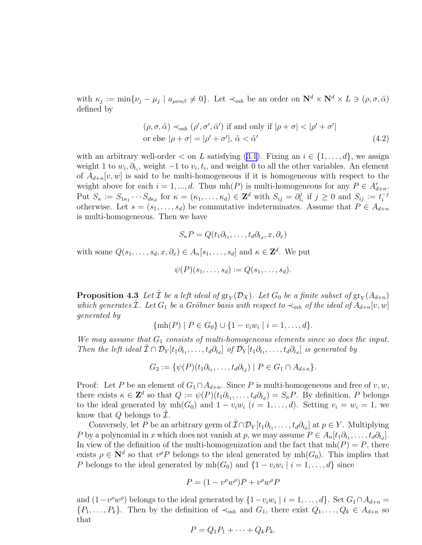<span id="page-10-0"></span>with  $\kappa_j := \min\{\nu_j - \mu_j \mid a_{\mu\nu\alpha\beta} \neq 0\}$ . Let  $\prec_{mh}$  be an order on  $\mathbb{N}^d \times \mathbb{N}^d \times L \ni (\rho, \sigma, \tilde{\alpha})$ defined by

$$
(\rho, \sigma, \tilde{\alpha}) \prec_{mh} (\rho', \sigma', \tilde{\alpha}') \text{ if and only if } |\rho + \sigma| < |\rho' + \sigma'|
$$
  
or else  $|\rho + \sigma| = |\rho' + \sigma'|$ ,  $\tilde{\alpha} < \tilde{\alpha}'$  (4.2)

withan arbitrary well-order  $\lt$  on L satisfying ([3.1\)](#page-5-0). Fixing an  $i \in \{1, \ldots, d\}$ , we assign weight 1 to  $w_i, \partial_{t_i}$ , weight  $-1$  to  $v_i, t_i$ , and weight 0 to all the other variables. An element of  $A_{d+n}[v, w]$  is said to be multi-homogeneous if it is homogeneous with respect to the weight above for each  $i = 1, ..., d$ . Thus  $mh(P)$  is multi-homogeneous for any  $P \in A_{d+n}^r$ . Put  $S_{\kappa} := S_{1\kappa_1} \cdots S_{d\kappa_d}$  for  $\kappa = (\kappa_1, \ldots, \kappa_d) \in \mathbf{Z}^d$  with  $S_{ij} = \partial_{t_i}^j$  $y_{t_i}^j$  if  $j \geq 0$  and  $S_{ij} := t_i^{-j}$ i otherwise. Let  $s = (s_1, \ldots, s_d)$  be commutative indeterminates. Assume that  $P \in A_{d+n}$ is multi-homogeneous. Then we have

$$
S_{\kappa}P = Q(t_1\partial_{t_1},\ldots,t_d\partial_{t_d},x,\partial_x)
$$

with some  $Q(s_1, \ldots, s_d, x, \partial_x) \in A_n[s_1, \ldots, s_d]$  and  $\kappa \in \mathbb{Z}^d$ . We put

$$
\psi(P)(s_1,\ldots,s_d):=Q(s_1,\ldots,s_d).
$$

**Proposition 4.3** Let  $\hat{\mathcal{I}}$  be a left ideal of  $\text{gr}_Y(\mathcal{D}_X)$ . Let  $G_0$  be a finite subset of  $\text{gr}_Y(A_{d+n})$ *which generates* I. Let  $G_1$  *be a Gröbner basis with respect to*  $\prec_{mh}$  *of the ideal of*  $A_{d+n}[v, w]$ *generated by*

$$
\{\min(P) \mid P \in G_0\} \cup \{1 - v_i w_i \mid i = 1, \dots, d\}.
$$

*We may assume that*  $G_1$  *consists of multi-homogeneous elements since so does the input. Then the left ideal*  $\hat{\mathcal{I}} \cap \mathcal{D}_Y[t_1 \partial_{t_1}, \ldots, t_d \partial_{t_d}]$  *of*  $\mathcal{D}_Y[t_1 \partial_{t_1}, \ldots, t_d \partial_{t_d}]$  *is generated by* 

 $G_2 := \{ \psi(P)(t_1 \partial_{t_1}, \dots, t_d \partial_{t_d}) \mid P \in G_1 \cap A_{d+n} \}.$ 

Proof: Let P be an element of  $G_1 \cap A_{d+n}$ . Since P is multi-homogeneous and free of v, w, there exists  $\kappa \in \mathbb{Z}^d$  so that  $Q := \psi(P)(t_1 \partial_{t_1}, \dots, t_d \partial_{t_d}) = S_{\kappa}P$ . By definition, P belongs to the ideal generated by  $mh(G_0)$  and  $1 - v_iw_i$   $(i = 1, ..., d)$ . Setting  $v_i = w_i = 1$ , we know that  $Q$  belongs to  $\mathcal{I}$ .

Conversely, let P be an arbitrary germ of  $\hat{\mathcal{I}} \cap \mathcal{D}_Y[t_1 \partial_{t_1}, \dots, t_d \partial_{t_d}]$  at  $p \in Y$ . Multiplying P by a polynomial in x which does not vanish at p, we may assume  $P \in A_n[t_1\partial_{t_1}, \ldots, t_d\partial_{t_d}].$ In view of the definition of the multi-homogenization and the fact that  $mh(P) = P$ , there exists  $\rho \in \mathbb{N}^d$  so that  $v^{\rho}P$  belongs to the ideal generated by  $mh(G_0)$ . This implies that P belongs to the ideal generated by  $mh(G_0)$  and  $\{1 - v_iw_i \mid i = 1, \ldots, d\}$  since

$$
P = (1 - v^{\rho}w^{\rho})P + v^{\rho}w^{\rho}P
$$

and  $(1-v^{\rho}w^{\rho})$  belongs to the ideal generated by  $\{1-v_iw_i \mid i=1,\ldots,d\}$ . Set  $G_1 \cap A_{d+n} =$  $\{P_1,\ldots,P_k\}$ . Then by the definition of  $\prec_{mh}$  and  $G_1$ , there exist  $Q_1,\ldots,Q_k \in A_{d+n}$  so that

$$
P = Q_1 P_1 + \cdots + Q_k P_k.
$$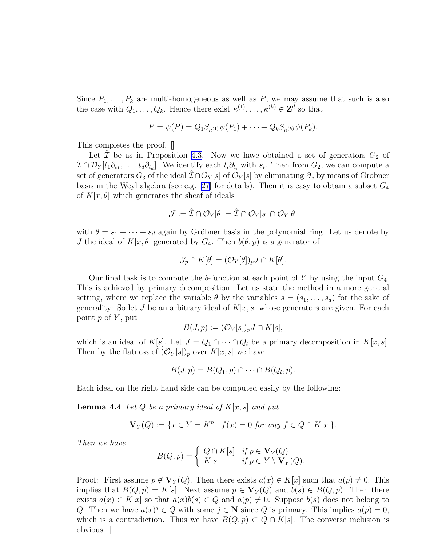<span id="page-11-0"></span>Since  $P_1, \ldots, P_k$  are multi-homogeneous as well as P, we may assume that such is also the case with  $Q_1, \ldots, Q_k$ . Hence there exist  $\kappa^{(1)}, \ldots, \kappa^{(k)} \in \mathbb{Z}^d$  so that

$$
P = \psi(P) = Q_1 S_{\kappa^{(1)}} \psi(P_1) + \cdots + Q_k S_{\kappa^{(k)}} \psi(P_k).
$$

This completes the proof. []

Let  $\mathcal I$  be as in Proposition [4.3.](#page-10-0) Now we have obtained a set of generators  $G_2$  of  $\hat{\mathcal{I}} \cap \mathcal{D}_Y[t_1 \partial_{t_1}, \ldots, t_d \partial_{t_d}]$ . We identify each  $t_i \partial_{t_i}$  with  $s_i$ . Then from  $G_2$ , we can compute a set of generators  $G_3$  of the ideal  $\hat{\mathcal{I}} \cap \mathcal{O}_Y[s]$  of  $\mathcal{O}_Y[s]$  by eliminating  $\partial_x$  by means of Gröbner basis in the Weyl algebra (see e.g. [\[27\]](#page-35-0) for details). Then it is easy to obtain a subset  $G_4$ of  $K[x, \theta]$  which generates the sheaf of ideals

$$
\mathcal{J}:=\hat{\mathcal{I}}\cap\mathcal{O}_Y[\theta]=\hat{\mathcal{I}}\cap\mathcal{O}_Y[s]\cap\mathcal{O}_Y[\theta]
$$

with  $\theta = s_1 + \cdots + s_d$  again by Gröbner basis in the polynomial ring. Let us denote by J the ideal of  $K[x, \theta]$  generated by  $G_4$ . Then  $b(\theta, p)$  is a generator of

$$
\mathcal{J}_p \cap K[\theta] = (\mathcal{O}_Y[\theta])_p J \cap K[\theta].
$$

Our final task is to compute the b-function at each point of Y by using the input  $G_4$ . This is achieved by primary decomposition. Let us state the method in a more general setting, where we replace the variable  $\theta$  by the variables  $s = (s_1, \ldots, s_d)$  for the sake of generality: So let J be an arbitrary ideal of  $K[x, s]$  whose generators are given. For each point  $p$  of  $Y$ , put

$$
B(J,p) := (\mathcal{O}_Y[s])_p J \cap K[s],
$$

which is an ideal of K[s]. Let  $J = Q_1 \cap \cdots \cap Q_l$  be a primary decomposition in  $K[x, s]$ . Then by the flatness of  $(\mathcal{O}_Y[s])_p$  over  $K[x, s]$  we have

$$
B(J,p)=B(Q_1,p)\cap\cdots\cap B(Q_l,p).
$$

Each ideal on the right hand side can be computed easily by the following:

Lemma 4.4 *Let* Q *be a primary ideal of* K[x, s] *and put*

$$
\mathbf{V}_Y(Q) := \{ x \in Y = K^n \mid f(x) = 0 \text{ for any } f \in Q \cap K[x] \}.
$$

*Then we have*

$$
B(Q, p) = \begin{cases} Q \cap K[s] & \text{if } p \in \mathbf{V}_Y(Q) \\ K[s] & \text{if } p \in Y \setminus \mathbf{V}_Y(Q). \end{cases}
$$

Proof: First assume  $p \notin V_Y(Q)$ . Then there exists  $a(x) \in K[x]$  such that  $a(p) \neq 0$ . This implies that  $B(Q, p) = K[s]$ . Next assume  $p \in V_Y(Q)$  and  $b(s) \in B(Q, p)$ . Then there exists  $a(x) \in K[x]$  so that  $a(x)b(s) \in Q$  and  $a(p) \neq 0$ . Suppose  $b(s)$  does not belong to Q. Then we have  $a(x)^{j} \in Q$  with some  $j \in \mathbb{N}$  since Q is primary. This implies  $a(p) = 0$ , which is a contradiction. Thus we have  $B(Q, p) \subset Q \cap K[s]$ . The converse inclusion is obvious. []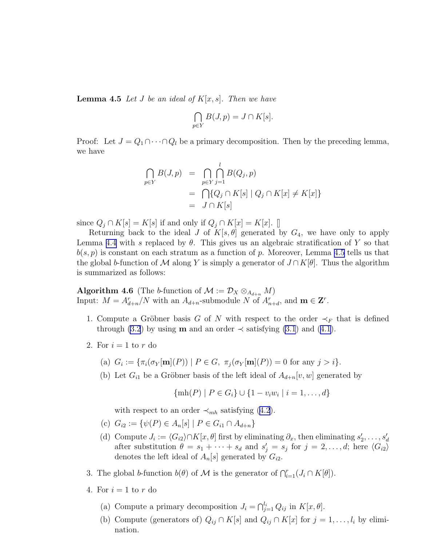<span id="page-12-0"></span>Lemma 4.5 *Let* J *be an ideal of* K[x, s]*. Then we have*

$$
\bigcap_{p \in Y} B(J, p) = J \cap K[s].
$$

Proof: Let  $J = Q_1 \cap \cdots \cap Q_l$  be a primary decomposition. Then by the preceding lemma, we have

$$
\bigcap_{p \in Y} B(J, p) = \bigcap_{p \in Y} \bigcap_{j=1}^{l} B(Q_j, p)
$$
  
= 
$$
\bigcap \{Q_j \cap K[s] \mid Q_j \cap K[x] \neq K[x] \}
$$
  
= 
$$
J \cap K[s]
$$

since  $Q_j \cap K[s] = K[s]$  if and only if  $Q_j \cap K[x] = K[x]$ . []

Returning back to the ideal J of  $K[s, \theta]$  generated by  $G_4$ , we have only to apply Lemma [4.4](#page-11-0) with s replaced by  $\theta$ . This gives us an algebraic stratification of Y so that  $b(s, p)$  is constant on each stratum as a function of p. Moreover, Lemma [4.5](#page-11-0) tells us that the global b-function of M along Y is simply a generator of  $J \cap K[\theta]$ . Thus the algorithm is summarized as follows:

**Algorithm 4.6** (The b-function of  $\mathcal{M} := \mathcal{D}_X \otimes_{A_{d+n}} M$ ) Input:  $M = A_{d+n}^r/N$  with an  $A_{d+n}$ -submodule N of  $A_{n+d}^r$ , and  $\mathbf{m} \in \mathbf{Z}^r$ .

- 1. Compute a Gröbner basis G of N with respect to the order  $\prec_F$  that is defined through [\(3.2](#page-5-0))by using **m** and an order  $\prec$  satisfying [\(3.1](#page-5-0)) and ([4.1\)](#page-9-0).
- 2. For  $i = 1$  to r do
	- (a)  $G_i := \{ \pi_i(\sigma_Y[\mathbf{m}](P)) \mid P \in G, \ \pi_j(\sigma_Y[\mathbf{m}](P)) = 0 \text{ for any } j > i \}.$
	- (b) Let  $G_{i1}$  be a Gröbner basis of the left ideal of  $A_{d+n}[v, w]$  generated by

$$
\{\min(P) \mid P \in G_i\} \cup \{1 - v_i w_i \mid i = 1, ..., d\}
$$

with respect to an order  $\prec_{mh}$  satisfying [\(4.2](#page-10-0)).

- (c)  $G_{i2} := \{\psi(P) \in A_n[s] \mid P \in G_{i1} \cap A_{d+n}\}\$
- (d) Compute  $J_i := \langle G_{i2} \rangle \cap K[x, \theta]$  first by eliminating  $\partial_x$ , then eliminating  $s'_2, \ldots, s'_d$ after substitution  $\theta = s_1 + \cdots + s_d$  and  $s'_j = s_j$  for  $j = 2, \ldots, d$ ; here  $\langle G_{i2} \rangle$ denotes the left ideal of  $A_n[s]$  generated by  $G_{i2}$ .
- 3. The global b-function  $b(\theta)$  of M is the generator of  $\bigcap_{i=1}^r (J_i \cap K[\theta])$ .
- 4. For  $i = 1$  to r do
	- (a) Compute a primary decomposition  $J_i = \bigcap_{j=1}^{l_i} Q_{ij}$  in  $K[x, \theta]$ .
	- (b) Compute (generators of)  $Q_{ij} \cap K[s]$  and  $Q_{ij} \cap K[x]$  for  $j = 1, \ldots, l_i$  by elimination.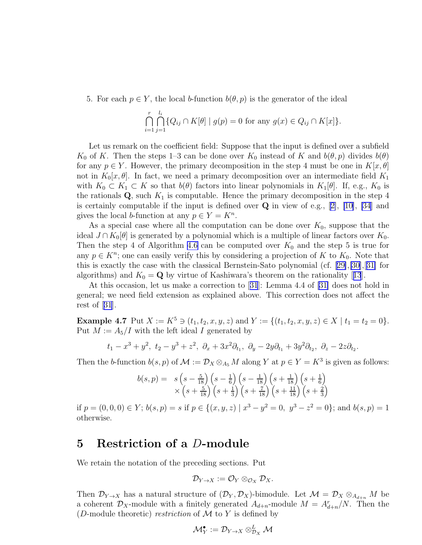5. For each  $p \in Y$ , the local b-function  $b(\theta, p)$  is the generator of the ideal

$$
\bigcap_{i=1}^r \bigcap_{j=1}^{l_i} \{ Q_{ij} \cap K[\theta] \mid g(p) = 0 \text{ for any } g(x) \in Q_{ij} \cap K[x] \}.
$$

Let us remark on the coefficient field: Suppose that the input is defined over a subfield K<sub>0</sub> of K. Then the steps 1–3 can be done over K<sub>0</sub> instead of K and  $b(\theta, p)$  divides  $b(\theta)$ for any  $p \in Y$ . However, the primary decomposition in the step 4 must be one in  $K[x, \theta]$ not in  $K_0[x,\theta]$ . In fact, we need a primary decomposition over an intermediate field  $K_1$ with  $K_0 \subset K_1 \subset K$  so that  $b(\theta)$  factors into linear polynomials in  $K_1[\theta]$ . If, e.g.,  $K_0$  is the rationals  $\mathbf{Q}$ , such  $K_1$  is computable. Hence the primary decomposition in the step 4 iscertainly computable if the input is defined over  $\bf{Q}$  in view of e.g., [[2\]](#page-33-0), [\[10\]](#page-34-0), [\[34](#page-35-0)] and gives the local *b*-function at any  $p \in Y = K^n$ .

As a special case where all the computation can be done over  $K_0$ , suppose that the ideal  $J \cap K_0[\theta]$  is generated by a polynomial which is a multiple of linear factors over  $K_0$ . Then the step 4 of Algorithm [4.6](#page-12-0) can be computed over  $K_0$  and the step 5 is true for any  $p \in K<sup>n</sup>$ ; one can easily verify this by considering a projection of K to  $K_0$ . Note that this is exactly the case with the classical Bernstein-Sato polynomial (cf.[[29\]](#page-35-0),[\[30](#page-35-0)],[[31\]](#page-35-0) for algorithms)and  $K_0 = \mathbf{Q}$  by virtue of Kashiwara's theorem on the rationality [[13](#page-34-0)].

At this occasion, let us make a correction to[[31](#page-35-0)]: Lemma 4.4 of [\[31\]](#page-35-0) does not hold in general; we need field extension as explained above. This correction does not affect the restof  $|31|$  $|31|$  $|31|$ .

Example 4.7 Put  $X := K^5 \ni (t_1, t_2, x, y, z)$  and  $Y := \{(t_1, t_2, x, y, z) \in X \mid t_1 = t_2 = 0\}.$ Put  $M := A_5/I$  with the left ideal I generated by

$$
t_1 - x^3 + y^2
$$
,  $t_2 - y^3 + z^2$ ,  $\partial_x + 3x^2 \partial_{t_1}$ ,  $\partial_y - 2y \partial_{t_1} + 3y^2 \partial_{t_2}$ ,  $\partial_z - 2z \partial_{t_2}$ .

Then the b-function  $b(s, p)$  of  $\mathcal{M} := \mathcal{D}_X \otimes_{A_5} M$  along Y at  $p \in Y = K^3$  is given as follows:

$$
b(s,p) = s\left(s - \frac{5}{18}\right)\left(s - \frac{1}{6}\right)\left(s - \frac{1}{18}\right)\left(s + \frac{1}{18}\right)\left(s + \frac{1}{6}\right) \times \left(s + \frac{5}{18}\right)\left(s + \frac{1}{3}\right)\left(s + \frac{7}{18}\right)\left(s + \frac{11}{18}\right)\left(s + \frac{2}{3}\right)
$$

if  $p = (0, 0, 0) \in Y$ ;  $b(s, p) = s$  if  $p \in \{(x, y, z) \mid x^3 - y^2 = 0, y^3 - z^2 = 0\}$ ; and  $b(s, p) = 1$ otherwise.

#### 5 Restriction of a D-module

We retain the notation of the preceding sections. Put

$$
\mathcal{D}_{Y\to X}:=\mathcal{O}_Y\otimes_{\mathcal{O}_X}\mathcal{D}_X.
$$

Then  $\mathcal{D}_{Y\to X}$  has a natural structure of  $(\mathcal{D}_Y, \mathcal{D}_X)$ -bimodule. Let  $\mathcal{M} = \mathcal{D}_X \otimes_{A_{d+n}} M$  be a coherent  $\mathcal{D}_X$ -module with a finitely generated  $A_{d+n}$ -module  $M = A_{d+n}^r/N$ . Then the (*D*-module theoretic) *restriction* of  $M$  to  $Y$  is defined by

$$
\mathcal{M}_Y^\bullet:=\mathcal{D}_{Y\to X}\otimes^L_{\mathcal{D}_X}\mathcal{M}
$$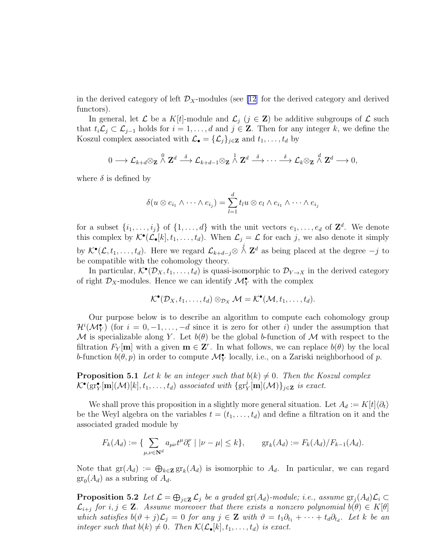<span id="page-14-0"></span>in the derived category of left  $\mathcal{D}_X$ -modules (see [\[12](#page-34-0)] for the derived category and derived functors).

In general, let  $\mathcal L$  be a  $K[t]$ -module and  $\mathcal L_j$   $(j \in \mathbf{Z})$  be additive subgroups of  $\mathcal L$  such that  $t_i\mathcal{L}_j \subset \mathcal{L}_{j-1}$  holds for  $i = 1, \ldots, d$  and  $j \in \mathbf{Z}$ . Then for any integer k, we define the Koszul complex associated with  $\mathcal{L}_{\bullet} = {\{\mathcal{L}_j\}}_{j \in \mathbf{Z}}$  and  $t_1, \ldots, t_d$  by

$$
0 \longrightarrow \mathcal{L}_{k+d} \otimes_{\mathbf{Z}} \stackrel{0}{\wedge} \mathbf{Z}^d \stackrel{\delta}{\longrightarrow} \mathcal{L}_{k+d-1} \otimes_{\mathbf{Z}} \stackrel{1}{\wedge} \mathbf{Z}^d \stackrel{\delta}{\longrightarrow} \cdots \stackrel{\delta}{\longrightarrow} \mathcal{L}_{k} \otimes_{\mathbf{Z}} \stackrel{d}{\wedge} \mathbf{Z}^d \longrightarrow 0,
$$

where  $\delta$  is defined by

$$
\delta(u \otimes e_{i_1} \wedge \cdots \wedge e_{i_j}) = \sum_{l=1}^d t_l u \otimes e_l \wedge e_{i_1} \wedge \cdots \wedge e_{i_j}
$$

for a subset  $\{i_1, \ldots, i_j\}$  of  $\{1, \ldots, d\}$  with the unit vectors  $e_1, \ldots, e_d$  of  $\mathbb{Z}^d$ . We denote this complex by  $\mathcal{K}^{\bullet}(\mathcal{L}_{\bullet}[k], t_1, \ldots, t_d)$ . When  $\mathcal{L}_j = \mathcal{L}$  for each j, we also denote it simply by  $\mathcal{K}^{\bullet}(\mathcal{L},t_1,\ldots,t_d)$ . Here we regard  $\mathcal{L}_{k+d-j} \otimes \stackrel{j}{\wedge} \mathbf{Z}^d$  as being placed at the degree  $-j$  to be compatible with the cohomology theory.

In particular,  $\mathcal{K}^{\bullet}(\mathcal{D}_X, t_1, \ldots, t_d)$  is quasi-isomorphic to  $\mathcal{D}_{Y \to X}$  in the derived category of right  $\mathcal{D}_X$ -modules. Hence we can identify  $\mathcal{M}_Y^{\bullet}$  with the complex

$$
\mathcal{K}^{\bullet}(\mathcal{D}_X,t_1,\ldots,t_d)\otimes_{\mathcal{D}_X}\mathcal{M}=\mathcal{K}^{\bullet}(\mathcal{M},t_1,\ldots,t_d).
$$

Our purpose below is to describe an algorithm to compute each cohomology group  $\mathcal{H}^i(\mathcal{M}_Y^{\bullet})$  (for  $i = 0, -1, \ldots, -d$  since it is zero for other i) under the assumption that M is specializable along Y. Let  $b(\theta)$  be the global b-function of M with respect to the filtration  $F_Y[\mathbf{m}]$  with a given  $\mathbf{m} \in \mathbf{Z}^r$ . In what follows, we can replace  $b(\theta)$  by the local b-function  $b(\theta, p)$  in order to compute  $\mathcal{M}_{Y}^{\bullet}$  locally, i.e., on a Zariski neighborhood of p.

**Proposition 5.1** Let k be an integer such that  $b(k) \neq 0$ . Then the Koszul complex  $\mathcal{K}^{\bullet}(\text{gr}_{Y}^{\bullet}[\textbf{m}](\mathcal{M})[k], t_1, \ldots, t_d)$  *associated with*  $\{\text{gr}_{Y}^{\mathcal{X}}$  $Y_Y^{\jmath}[\mathbf{m}](\mathcal{M})\}_{j\in\mathbf{Z}}$  *is exact.* 

We shall prove this proposition in a slightly more general situation. Let  $A_d := K[t]\langle \partial_t \rangle$ be the Weyl algebra on the variables  $t = (t_1, \ldots, t_d)$  and define a filtration on it and the associated graded module by

$$
F_k(A_d) := \{ \sum_{\mu,\nu \in \mathbf{N}^d} a_{\mu\nu} t^{\mu} \partial_t^{\nu} \mid |\nu - \mu| \le k \}, \qquad \text{gr}_k(A_d) := F_k(A_d) / F_{k-1}(A_d).
$$

Note that  $\text{gr}(A_d) := \bigoplus_{k \in \mathbf{Z}} \text{gr}_k(A_d)$  is isomorphic to  $A_d$ . In particular, we can regard  $\operatorname{gr}_0(A_d)$  as a subring of  $A_d$ .

**Proposition 5.2** Let  $\mathcal{L} = \bigoplus_{j \in \mathbf{Z}} \mathcal{L}_j$  be a graded  $\text{gr}(A_d)$ -module; i.e., assume  $\text{gr}_j(A_d)\mathcal{L}_i \subset$  $\mathcal{L}_{i+j}$  for  $i, j \in \mathbf{Z}$ . Assume moreover that there exists a nonzero polynomial  $b(\theta) \in K[\theta]$ *which satisfies*  $b(\vartheta + j)\mathcal{L}_j = 0$  *for any*  $j \in \mathbf{Z}$  *with*  $\vartheta = t_1 \partial_{t_1} + \cdots + t_d \partial_{t_d}$ . Let k be an *integer such that*  $b(k) \neq 0$ *. Then*  $\mathcal{K}(\mathcal{L}_{\bullet}[k], t_1, \ldots, t_d)$  *is exact.*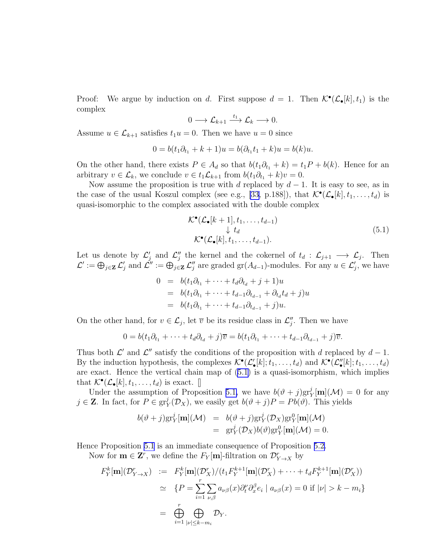<span id="page-15-0"></span>Proof: We argue by induction on d. First suppose  $d = 1$ . Then  $\mathcal{K}^{\bullet}(\mathcal{L}_{\bullet}[k], t_1)$  is the complex

$$
0 \longrightarrow \mathcal{L}_{k+1} \stackrel{t_1}{\longrightarrow} \mathcal{L}_k \longrightarrow 0.
$$

Assume  $u \in \mathcal{L}_{k+1}$  satisfies  $t_1u = 0$ . Then we have  $u = 0$  since

$$
0 = b(t_1 \partial_{t_1} + k + 1)u = b(\partial_{t_1} t_1 + k)u = b(k)u.
$$

On the other hand, there exists  $P \in A_d$  so that  $b(t_1\partial_{t_1} + k) = t_1P + b(k)$ . Hence for an arbitrary  $v \in \mathcal{L}_k$ , we conclude  $v \in t_1\mathcal{L}_{k+1}$  from  $b(t_1\partial_{t_1} + k)v = 0$ .

Now assume the proposition is true with d replaced by  $d-1$ . It is easy to see, as in the case of the usual Koszul complex (see e.g., [\[33,](#page-35-0) p.188]), that  $\mathcal{K}^{\bullet}(\mathcal{L}_{\bullet}[k], t_1, \ldots, t_d)$  is quasi-isomorphic to the complex associated with the double complex

$$
\mathcal{K}^{\bullet}(\mathcal{L}_{\bullet}[k+1], t_1, \dots, t_{d-1})
$$
\n
$$
\downarrow t_d
$$
\n
$$
\mathcal{K}^{\bullet}(\mathcal{L}_{\bullet}[k], t_1, \dots, t_{d-1}).
$$
\n(5.1)

Let us denote by  $\mathcal{L}'_j$  and  $\mathcal{L}''_j$  the kernel and the cokernel of  $t_d : \mathcal{L}_{j+1} \longrightarrow \mathcal{L}_j$ . Then  $\mathcal{L}' := \bigoplus_{j \in \mathbf{Z}} \mathcal{L}'_j$  and  $\mathcal{L}'' := \bigoplus_{j \in \mathbf{Z}} \mathcal{L}''_j$  are graded  $\text{gr}(A_{d-1})$ -modules. For any  $u \in \mathcal{L}'_j$ , we have

$$
0 = b(t_1\partial_{t_1} + \dots + t_d\partial_{t_d} + j + 1)u
$$
  
=  $b(t_1\partial_{t_1} + \dots + t_{d-1}\partial_{t_{d-1}} + \partial_{t_d}t_d + j)u$   
=  $b(t_1\partial_{t_1} + \dots + t_{d-1}\partial_{t_{d-1}} + j)u.$ 

On the other hand, for  $v \in \mathcal{L}_j$ , let  $\overline{v}$  be its residue class in  $\mathcal{L}''_j$ . Then we have

$$
0 = b(t_1\partial_{t_1} + \cdots + t_d\partial_{t_d} + j)\overline{v} = b(t_1\partial_{t_1} + \cdots + t_{d-1}\partial_{t_{d-1}} + j)\overline{v}.
$$

Thus both  $\mathcal{L}'$  and  $\mathcal{L}''$  satisfy the conditions of the proposition with d replaced by  $d-1$ . By the induction hypothesis, the complexes  $\mathcal{K}^{\bullet}(\mathcal{L}'_{\bullet}[k]; t_1, \ldots, t_d)$  and  $\mathcal{K}^{\bullet}(\mathcal{L}''_{\bullet}[k]; t_1, \ldots, t_d)$ are exact. Hence the vertical chain map of (5.1) is a quasi-isomorphism, which implies that  $\mathcal{K}^{\bullet}(\mathcal{L}_{\bullet}[k], t_1, \ldots, t_d)$  is exact.  $\lbrack \rbrack$ 

Under the assumption of Proposition [5.1,](#page-14-0) we have  $b(\vartheta + j)$ gr $\chi^j$ [m]( $\mathcal{M}$ ) = 0 for any  $j \in \mathbf{Z}$ . In fact, for  $P \in \text{gr}^j_{\mathbf{Y}}$  $y_Y^j(\mathcal{D}_X)$ , we easily get  $b(\vartheta + j)P = Pb(\vartheta)$ . This yields

$$
b(\vartheta + j) \text{gr}_Y^j[\mathbf{m}](\mathcal{M}) = b(\vartheta + j) \text{gr}_Y^j(\mathcal{D}_X) \text{gr}_Y^0[\mathbf{m}](\mathcal{M})
$$
  
= 
$$
\text{gr}_Y^j(\mathcal{D}_X) b(\vartheta) \text{gr}_Y^0[\mathbf{m}](\mathcal{M}) = 0.
$$

Hence Proposition [5.1](#page-14-0) is an immediate consequence of Proposition [5.2.](#page-14-0)

Now for  $\mathbf{m} \in \mathbf{Z}^r$ , we define the  $F_Y[\mathbf{m}]$ -filtration on  $\mathcal{D}_{Y \to X}^r$  by

$$
F_Y^k[\mathbf{m}](\mathcal{D}_{Y\to X}^r) := F_Y^k[\mathbf{m}](\mathcal{D}_X^r)/(t_1 F_Y^{k+1}[\mathbf{m}](\mathcal{D}_X^r) + \cdots + t_d F_Y^{k+1}[\mathbf{m}](\mathcal{D}_X^r))
$$
  
\n
$$
\simeq \{P = \sum_{i=1}^r \sum_{\nu,\beta} a_{\nu\beta}(x) \partial_t^{\nu} \partial_x^{\beta} e_i \mid a_{\nu\beta}(x) = 0 \text{ if } |\nu| > k - m_i\}
$$
  
\n
$$
= \bigoplus_{i=1}^r \bigoplus_{|\nu| \le k - m_i} \mathcal{D}_Y.
$$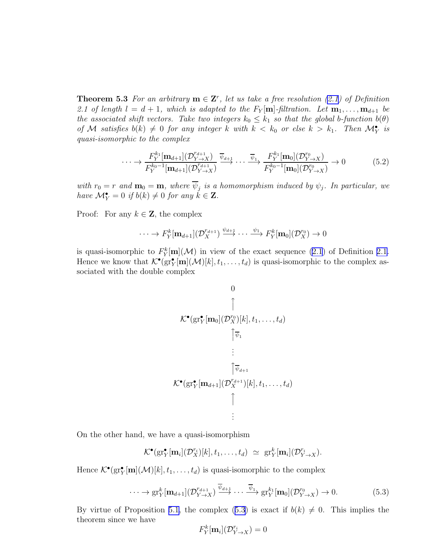<span id="page-16-0"></span>**Theorem 5.3** For an arbitrary  $\mathbf{m} \in \mathbf{Z}^r$ , let us take a free resolution [\(2.1\)](#page-3-0) of Definition 2.1 of length  $l = d + 1$ , which is adapted to the  $F_Y[\mathbf{m}]$ -filtration. Let  $\mathbf{m}_1, \ldots, \mathbf{m}_{d+1}$  be *the associated shift vectors. Take two integers*  $k_0 \leq k_1$  *so that the global b-function*  $b(\theta)$ *of* M *satisfies*  $b(k) \neq 0$  *for any integer* k with  $k < k_0$  *or else*  $k > k_1$ . Then  $\mathcal{M}_Y^{\bullet}$  *is quasi-isomorphic to the complex*

$$
\cdots \rightarrow \frac{F_Y^{k_1}[\mathbf{m}_{d+1}](\mathcal{D}_{Y\rightarrow X}^{r_{d+1}})}{F_Y^{k_0-1}[\mathbf{m}_{d+1}](\mathcal{D}_{Y\rightarrow X}^{r_{d+1}})} \xrightarrow{\overline{\psi}_{d+1}} \cdots \xrightarrow{\overline{\psi}_1} \frac{F_Y^{k_1}[\mathbf{m}_0](\mathcal{D}_{Y\rightarrow X}^{r_0})}{F_Y^{k_0-1}[\mathbf{m}_0](\mathcal{D}_{Y\rightarrow X}^{r_0})} \rightarrow 0 \tag{5.2}
$$

with  $r_0 = r$  and  $\mathbf{m}_0 = \mathbf{m}$ , where  $\psi_j$  is a homomorphism induced by  $\psi_j$ . In particular, we *have*  $\mathcal{M}_{Y}^{\bullet} = 0$  *if*  $b(k) \neq 0$  *for any*  $k \in \mathbf{Z}$ *.* 

Proof: For any  $k \in \mathbb{Z}$ , the complex

$$
\cdots \to F_Y^k[\mathbf{m}_{d+1}](\mathcal{D}_X^{r_{d+1}}) \xrightarrow{\psi_{d+1}} \cdots \xrightarrow{\psi_1} F_Y^k[\mathbf{m}_0](\mathcal{D}_X^{r_0}) \to 0
$$

is quasi-isomorphic to  $F^k_Y[\mathbf{m}](\mathcal{M})$  in view of the exact sequence [\(2.1](#page-3-0)) of Definition [2.1.](#page-3-0) Hence we know that  $\mathcal{K}^{\bullet}(\text{gr}_{Y}^{\bullet}[\mathbf{m}](\mathcal{M})[k], t_1, \ldots, t_d)$  is quasi-isomorphic to the complex associated with the double complex

$$
\begin{array}{c}\n0 \\
\uparrow \\
\mathcal{K}^{\bullet}(\text{gr}_{Y}^{\bullet}[\mathbf{m}_{0}](\mathcal{D}_{X}^{r_{0}})[k], t_{1}, \ldots, t_{d}) \\
\uparrow \overline{\psi}_{1} \\
\vdots \\
\uparrow \overline{\psi}_{d+1} \\
\mathcal{K}^{\bullet}(\text{gr}_{Y}^{\bullet}[\mathbf{m}_{d+1}](\mathcal{D}_{X}^{r_{d+1}})[k], t_{1}, \ldots, t_{d}) \\
\uparrow \\
\vdots\n\end{array}
$$

On the other hand, we have a quasi-isomorphism

$$
\mathcal{K}^{\bullet}(\mathrm{gr}^{\bullet}_Y[\mathbf{m}_i](\mathcal{D}^{r_i}_X)[k], t_1, \ldots, t_d) \simeq \mathrm{gr}^k_Y[\mathbf{m}_i](\mathcal{D}^{r_i}_{Y \to X}).
$$

Hence  $\mathcal{K}^{\bullet}(\text{gr}_{Y}^{\bullet}[\mathbf{m}](\mathcal{M})[k], t_1, \ldots, t_d)$  is quasi-isomorphic to the complex

$$
\cdots \to \operatorname{gr}^k_Y[\mathbf{m}_{d+1}](\mathcal{D}_{Y \to X}^{r_{d+1}}) \xrightarrow{\overline{\psi}_{d+1}} \cdots \xrightarrow{\overline{\psi}_1} \operatorname{gr}^{k_1}_Y[\mathbf{m}_0](\mathcal{D}_{Y \to X}^{r_0}) \to 0. \tag{5.3}
$$

By virtue of Proposition [5.1,](#page-14-0) the complex (5.3) is exact if  $b(k) \neq 0$ . This implies the theorem since we have

$$
F^k_Y[\mathbf{m}_i](\mathcal{D}^{r_i}_{Y\to X}) = 0
$$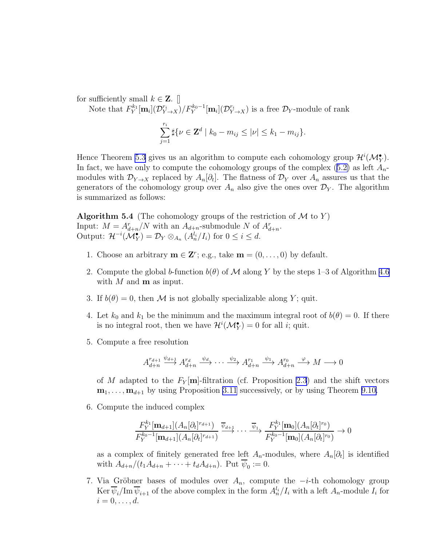<span id="page-17-0"></span>for sufficiently small  $k \in \mathbf{Z}$ . [

Note that  $F_Y^{k_1}[\mathbf{m}_i](\mathcal{D}_{Y\to X}^{r_i})/F_Y^{k_0-1}[\mathbf{m}_i](\mathcal{D}_{Y\to X}^{r_i})$  is a free  $\mathcal{D}_Y$ -module of rank

$$
\sum_{j=1}^{r_i} \sharp \{ \nu \in \mathbf{Z}^d \mid k_0 - m_{ij} \leq |\nu| \leq k_1 - m_{ij} \}.
$$

Hence Theorem [5.3](#page-15-0) gives us an algorithm to compute each cohomology group  $\mathcal{H}^i(\mathcal{M}_Y^{\bullet})$ . Infact, we have only to compute the cohomology groups of the complex  $(5.2)$  $(5.2)$  as left  $A_n$ modules with  $\mathcal{D}_{Y\to X}$  replaced by  $A_n[\partial_t]$ . The flatness of  $\mathcal{D}_Y$  over  $A_n$  assures us that the generators of the cohomology group over  $A_n$  also give the ones over  $\mathcal{D}_Y$ . The algorithm is summarized as follows:

**Algorithm 5.4** (The cohomology groups of the restriction of  $M$  to Y) Input:  $M = A_{d+n}^r/N$  with an  $A_{d+n}$ -submodule N of  $A_{d+n}^r$ . Output:  $\mathcal{H}^{-i}(\mathcal{M}_{Y}^{\bullet}) = \mathcal{D}_{Y} \otimes_{A_{n}} (A_{n}^{l_{i}}/I_{i})$  for  $0 \leq i \leq d$ .

- 1. Choose an arbitrary  $\mathbf{m} \in \mathbf{Z}^r$ ; e.g., take  $\mathbf{m} = (0, \ldots, 0)$  by default.
- 2. Compute the global b-function  $b(\theta)$  of M along Y by the steps 1–3 of Algorithm [4.6](#page-12-0) with M and  **as input.**
- 3. If  $b(\theta) = 0$ , then M is not globally specializable along Y; quit.
- 4. Let  $k_0$  and  $k_1$  be the minimum and the maximum integral root of  $b(\theta) = 0$ . If there is no integral root, then we have  $\mathcal{H}^i(\mathcal{M}_Y^{\bullet}) = 0$  for all *i*; quit.
- 5. Compute a free resolution

$$
A_{d+n}^{r_{d+1}} \stackrel{\psi_{d+1}}{\longrightarrow} A_{d+n}^{r_d} \stackrel{\psi_d}{\longrightarrow} \cdots \stackrel{\psi_2}{\longrightarrow} A_{d+n}^{r_1} \stackrel{\psi_1}{\longrightarrow} A_{d+n}^{r_0} \stackrel{\varphi}{\longrightarrow} M \longrightarrow 0
$$

of M adapted to the  $F_Y[\textbf{m}]$ -filtration (cf. Proposition [2.3](#page-4-0)) and the shift vectors  $\mathbf{m}_1, \ldots, \mathbf{m}_{d+1}$  by using Proposition [3.11](#page-7-0) successively, or by using Theorem [9.10.](#page-29-0)

6. Compute the induced complex

$$
\frac{F_Y^{k_1}[\mathbf{m}_{d+1}](A_n[\partial_t]^{r_{d+1}})}{F_Y^{k_0-1}[\mathbf{m}_{d+1}](A_n[\partial_t]^{r_{d+1}})} \xrightarrow{\overline{\psi}_{d+1}} \cdots \xrightarrow{\overline{\psi}_1} \frac{F_Y^{k_1}[\mathbf{m}_0](A_n[\partial_t]^{r_0})}{F_Y^{k_0-1}[\mathbf{m}_0](A_n[\partial_t]^{r_0})} \to 0
$$

as a complex of finitely generated free left  $A_n$ -modules, where  $A_n[\partial_t]$  is identified with  $A_{d+n}/(t_1A_{d+n} + \cdots + t_dA_{d+n})$ . Put  $\psi_0 := 0$ .

7. Via Gröbner bases of modules over  $A_n$ , compute the  $-i$ -th cohomology group  $\text{Ker }\overline{\psi}_i/\text{Im }\overline{\psi}_{i+1}$  of the above complex in the form  $A_n^{l_i}/I_i$  with a left  $A_n$ -module  $I_i$  for  $i=0,\ldots,d.$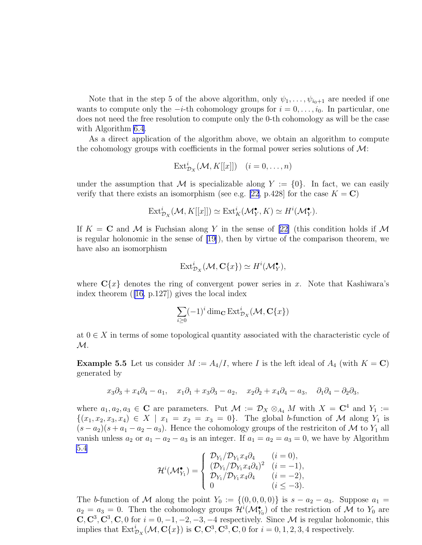Note that in the step 5 of the above algorithm, only  $\psi_1, \ldots, \psi_{i_0+1}$  are needed if one wants to compute only the  $-i$ -th cohomology groups for  $i = 0, \ldots, i_0$ . In particular, one does not need the free resolution to compute only the 0-th cohomology as will be the case with Algorithm [6.4](#page-21-0).

As a direct application of the algorithm above, we obtain an algorithm to compute the cohomology groups with coefficients in the formal power series solutions of  $\mathcal{M}$ :

$$
\text{Ext}^i_{\mathcal{D}_X}(\mathcal{M}, K[[x]]) \quad (i = 0, \dots, n)
$$

under the assumption that M is specializable along  $Y := \{0\}$ . In fact, we can easily verify that there exists an isomorphism (see e.g. [\[22](#page-35-0), p.428] for the case  $K = \mathbf{C}$ )

$$
\text{Ext}^i_{\mathcal{D}_X}(\mathcal{M}, K[[x]]) \simeq \text{Ext}^i_K(\mathcal{M}_Y^{\bullet}, K) \simeq H^i(\mathcal{M}_Y^{\bullet}).
$$

If  $K = \mathbb{C}$  and M is Fuchsian along Y in the sense of [\[22\]](#page-35-0) (this condition holds if M is regular holonomic in the sense of [\[19\]](#page-34-0)), then by virtue of the comparison theorem, we have also an isomorphism

$$
\text{Ext}^i_{\mathcal{D}_X}(\mathcal{M}, \mathbf{C}\{x\}) \simeq H^i(\mathcal{M}_Y^{\bullet}),
$$

where  $C\{x\}$  denotes the ring of convergent power series in x. Note that Kashiwara's index theorem ([\[16,](#page-34-0) p.127]) gives the local index

$$
\sum_{i\geq 0} (-1)^i \dim_{\mathbf{C}} \operatorname{Ext}^i_{\mathcal{D}_X}(\mathcal{M}, \mathbf{C}\{x\})
$$

at  $0 \in X$  in terms of some topological quantity associated with the characteristic cycle of  $\mathcal{M}.$ 

**Example 5.5** Let us consider  $M := A_4/I$ , where I is the left ideal of  $A_4$  (with  $K = \mathbf{C}$ ) generated by

$$
x_3\partial_3 + x_4\partial_4 - a_1
$$
,  $x_1\partial_1 + x_3\partial_3 - a_2$ ,  $x_2\partial_2 + x_4\partial_4 - a_3$ ,  $\partial_1\partial_4 - \partial_2\partial_3$ ,

where  $a_1, a_2, a_3 \in \mathbb{C}$  are parameters. Put  $\mathcal{M} := \mathcal{D}_X \otimes_{A_4} M$  with  $X = \mathbb{C}^4$  and  $Y_1 :=$  $\{(x_1, x_2, x_3, x_4) \in X \mid x_1 = x_2 = x_3 = 0\}.$  The global b-function of M along  $Y_1$  is  $(s-a_2)(s+a_1-a_2-a_3)$ . Hence the cohomology groups of the restriciton of M to Y<sub>1</sub> all vanish unless  $a_2$  or  $a_1 - a_2 - a_3$  is an integer. If  $a_1 = a_2 = a_3 = 0$ , we have by Algorithm [5.4](#page-17-0)

$$
\mathcal{H}^{i}(\mathcal{M}_{Y_{1}}^{\bullet}) = \begin{cases} \mathcal{D}_{Y_{1}}/\mathcal{D}_{Y_{1}}x_{4}\partial_{4} & (i = 0), \\ (\mathcal{D}_{Y_{1}}/\mathcal{D}_{Y_{1}}x_{4}\partial_{4})^{2} & (i = -1), \\ \mathcal{D}_{Y_{1}}/\mathcal{D}_{Y_{1}}x_{4}\partial_{4} & (i = -2), \\ 0 & (i \leq -3). \end{cases}
$$

The b-function of M along the point  $Y_0 := \{(0,0,0,0)\}\$ is  $s - a_2 - a_3$ . Suppose  $a_1 =$  $a_2 = a_3 = 0$ . Then the cohomology groups  $\mathcal{H}^i(\mathcal{M}_{Y_0}^{\bullet})$  of the restriction of M to  $Y_0$  are  $\mathbf{C}, \mathbf{C}^3, \mathbf{C}^3, \mathbf{C}, 0$  for  $i = 0, -1, -2, -3, -4$  respectively. Since M is regular holonomic, this implies that  $\text{Ext}^i_{\mathcal{D}_X}(\mathcal{M}, \mathbf{C}\{x\})$  is  $\mathbf{C}, \mathbf{C}^3, \mathbf{C}^3, \mathbf{C}, 0$  for  $i = 0, 1, 2, 3, 4$  respectively.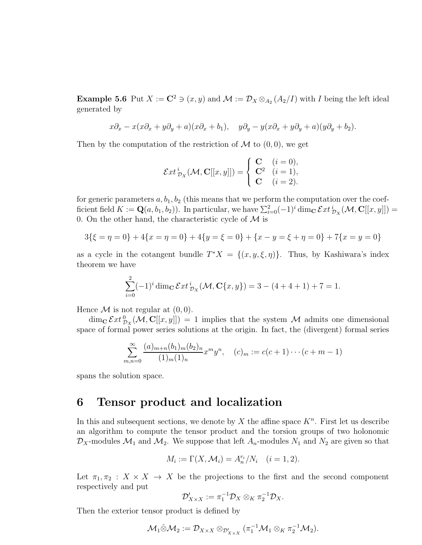**Example 5.6** Put  $X := \mathbb{C}^2 \ni (x, y)$  and  $\mathcal{M} := \mathcal{D}_X \otimes_{A_2}(A_2/I)$  with I being the left ideal generated by

$$
x\partial_x - x(x\partial_x + y\partial_y + a)(x\partial_x + b_1), \quad y\partial_y - y(x\partial_x + y\partial_y + a)(y\partial_y + b_2).
$$

Then by the computation of the restriction of  $\mathcal M$  to  $(0,0)$ , we get

$$
\mathcal{E}xt^i_{\mathcal{D}_X}(\mathcal{M},\mathbf{C}[[x,y]]) = \begin{cases} \n\mathbf{C} & (i=0), \\ \n\mathbf{C}^2 & (i=1), \\ \n\mathbf{C} & (i=2). \n\end{cases}
$$

for generic parameters  $a, b_1, b_2$  (this means that we perform the computation over the coefficient field  $K := \mathbf{Q}(a, b_1, b_2)$ . In particular, we have  $\sum_{i=0}^{2} (-1)^i \dim_{\mathbf{C}} \mathcal{E}xt^i_{\mathcal{D}_X}(\mathcal{M}, \mathbf{C}[[x, y]]) =$ 0. On the other hand, the characteristic cycle of  $\mathcal M$  is

$$
3\{\xi = \eta = 0\} + 4\{x = \eta = 0\} + 4\{y = \xi = 0\} + \{x - y = \xi + \eta = 0\} + 7\{x = y = 0\}
$$

as a cycle in the cotangent bundle  $T^*X = \{(x, y, \xi, \eta)\}\.$  Thus, by Kashiwara's index theorem we have

$$
\sum_{i=0}^{2} (-1)^{i} \dim_{\mathbf{C}} \mathcal{E}xt_{\mathcal{D}_X}^{i}(\mathcal{M}, \mathbf{C}\{x, y\}) = 3 - (4 + 4 + 1) + 7 = 1.
$$

Hence  $\mathcal M$  is not regular at  $(0, 0)$ .

 $\dim_{\bf C} \mathcal{E}xt_{\mathcal{D}_X}^0(\mathcal{M}, {\bf C}[[x,y]]) = 1$  implies that the system  $\mathcal M$  admits one dimensional space of formal power series solutions at the origin. In fact, the (divergent) formal series

$$
\sum_{m,n=0}^{\infty} \frac{(a)_{m+n}(b_1)_m(b_2)_n}{(1)_m(1)_n} x^m y^n, \quad (c)_m := c(c+1)\cdots(c+m-1)
$$

spans the solution space.

#### 6 Tensor product and localization

In this and subsequent sections, we denote by  $X$  the affine space  $K<sup>n</sup>$ . First let us describe an algorithm to compute the tensor product and the torsion groups of two holonomic  $\mathcal{D}_X$ -modules  $\mathcal{M}_1$  and  $\mathcal{M}_2$ . We suppose that left  $A_n$ -modules  $N_1$  and  $N_2$  are given so that

$$
M_i := \Gamma(X, \mathcal{M}_i) = A_n^{r_i} / N_i \quad (i = 1, 2).
$$

Let  $\pi_1, \pi_2 : X \times X \to X$  be the projections to the first and the second component respectively and put

$$
\mathcal{D}'_{X\times X}:=\pi_1^{-1}\mathcal{D}_X\otimes_K\pi_2^{-1}\mathcal{D}_X.
$$

Then the exterior tensor product is defined by

$$
\mathcal{M}_1 \hat{\otimes} \mathcal{M}_2 := \mathcal{D}_{X \times X} \otimes_{\mathcal{D}_{X \times X}'} (\pi_1^{-1} \mathcal{M}_1 \otimes_K \pi_2^{-1} \mathcal{M}_2).
$$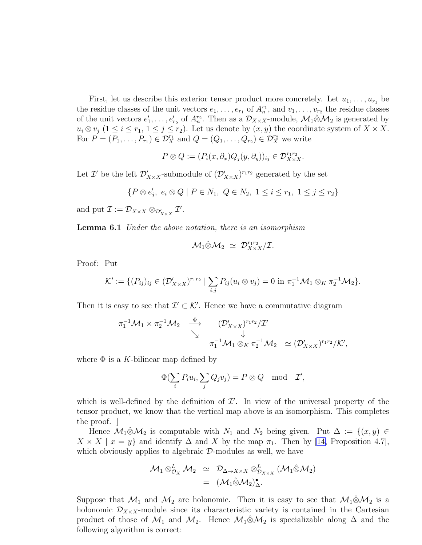<span id="page-20-0"></span>First, let us describe this exterior tensor product more concretely. Let  $u_1, \ldots, u_{r_1}$  be the residue classes of the unit vectors  $e_1, \ldots, e_{r_1}$  of  $A_n^{r_1}$ , and  $v_1, \ldots, v_{r_2}$  the residue classes of the unit vectors  $e'_1, \ldots, e'_{r_2}$  of  $A_n^{r_2}$ . Then as a  $\mathcal{D}_{X \times X}$ -module,  $\mathcal{M}_1 \hat{\otimes} \mathcal{M}_2$  is generated by  $u_i \otimes v_j$   $(1 \leq i \leq r_1, 1 \leq j \leq r_2)$ . Let us denote by  $(x, y)$  the coordinate system of  $X \times X$ . For  $P = (P_1, \ldots, P_{r_1}) \in \mathcal{D}_X^{r_1}$  and  $Q = (Q_1, \ldots, Q_{r_2}) \in \mathcal{D}_X^{r_2}$  we write

$$
P \otimes Q := (P_i(x, \partial_x)Q_j(y, \partial_y))_{ij} \in \mathcal{D}_{X \times X}^{r_1 r_2}.
$$

Let  $\mathcal{I}'$  be the left  $\mathcal{D}'_{X\times X}$ -submodule of  $(\mathcal{D}'_{X\times X})^{r_1r_2}$  generated by the set

$$
\{P \otimes e'_j, e_i \otimes Q \mid P \in N_1, Q \in N_2, 1 \le i \le r_1, 1 \le j \le r_2\}
$$

and put  $\mathcal{I} := \mathcal{D}_{X \times X} \otimes_{\mathcal{D}'_{X \times X}} \mathcal{I}'.$ 

Lemma 6.1 *Under the above notation, there is an isomorphism*

$$
\mathcal{M}_1\hat{\otimes}\mathcal{M}_2 \ \simeq \ \mathcal{D}^{r_1r_2}_{X\times X}/\mathcal{I}.
$$

Proof: Put

$$
\mathcal{K}' := \{ (P_{ij})_{ij} \in (\mathcal{D}_{X \times X}')^{r_1 r_2} \mid \sum_{i,j} P_{ij}(u_i \otimes v_j) = 0 \text{ in } \pi_1^{-1} \mathcal{M}_1 \otimes_K \pi_2^{-1} \mathcal{M}_2 \}.
$$

Then it is easy to see that  $\mathcal{I}' \subset \mathcal{K}'$ . Hence we have a commutative diagram

$$
\pi_1^{-1}\mathcal{M}_1 \times \pi_2^{-1}\mathcal{M}_2 \quad \stackrel{\Phi}{\longrightarrow} \quad (\mathcal{D}'_{X \times X})^{r_1 r_2} / \mathcal{I}'
$$
\n
$$
\downarrow \qquad \qquad \downarrow \qquad \qquad \pi_1^{-1}\mathcal{M}_1 \otimes_K \pi_2^{-1}\mathcal{M}_2 \quad \simeq (\mathcal{D}'_{X \times X})^{r_1 r_2} / \mathcal{K}',
$$

where  $\Phi$  is a K-bilinear map defined by

$$
\Phi(\sum_i P_i u_i, \sum_j Q_j v_j) = P \otimes Q \mod \mathcal{I}',
$$

which is well-defined by the definition of  $\mathcal{I}'$ . In view of the universal property of the tensor product, we know that the vertical map above is an isomorphism. This completes the proof. []

Hence  $\mathcal{M}_1 \otimes \mathcal{M}_2$  is computable with  $N_1$  and  $N_2$  being given. Put  $\Delta := \{(x, y) \in$  $X \times X \mid x = y$  $X \times X \mid x = y$  $X \times X \mid x = y$  and identify  $\Delta$  and X by the map  $\pi_1$ . Then by [[14,](#page-34-0) Proposition 4.7], which obviously applies to algebraic  $\mathcal{D}$ -modules as well, we have

$$
\mathcal{M}_1 \otimes_{\mathcal{O}_X}^L \mathcal{M}_2 \simeq \mathcal{D}_{\Delta \to X \times X} \otimes_{\mathcal{D}_{X \times X}}^L (\mathcal{M}_1 \hat{\otimes} \mathcal{M}_2)
$$
  
= 
$$
(\mathcal{M}_1 \hat{\otimes} \mathcal{M}_2)_{\Delta}^{\bullet}.
$$

Suppose that  $\mathcal{M}_1$  and  $\mathcal{M}_2$  are holonomic. Then it is easy to see that  $\mathcal{M}_1 \hat{\otimes} \mathcal{M}_2$  is a holonomic  $\mathcal{D}_{X\times X}$ -module since its characteristic variety is contained in the Cartesian product of those of  $\mathcal{M}_1$  and  $\mathcal{M}_2$ . Hence  $\mathcal{M}_1 \hat{\otimes} \mathcal{M}_2$  is specializable along  $\Delta$  and the following algorithm is correct: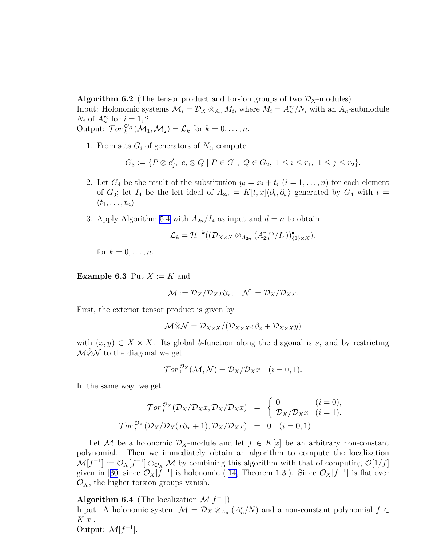<span id="page-21-0"></span>**Algorithm 6.2** (The tensor product and torsion groups of two  $\mathcal{D}_X$ -modules)

Input: Holonomic systems  $\mathcal{M}_i = \mathcal{D}_X \otimes_{A_n} M_i$ , where  $M_i = A_n^{r_i}/N_i$  with an  $A_n$ -submodule  $N_i$  of  $A_n^{r_i}$  for  $i = 1, 2$ .

Output: 
$$
\operatorname{Tor}_k^{\mathcal{O}_X}(\mathcal{M}_1, \mathcal{M}_2) = \mathcal{L}_k
$$
 for  $k = 0, \ldots, n$ .

1. From sets  $G_i$  of generators of  $N_i$ , compute

$$
G_3 := \{ P \otimes e'_j, \ e_i \otimes Q \mid P \in G_1, \ Q \in G_2, \ 1 \le i \le r_1, \ 1 \le j \le r_2 \}.
$$

- 2. Let  $G_4$  be the result of the substitution  $y_i = x_i + t_i$   $(i = 1, \ldots, n)$  for each element of  $G_3$ ; let  $I_4$  be the left ideal of  $A_{2n} = K[t, x]\langle \partial_t, \partial_x \rangle$  generated by  $G_4$  with  $t =$  $(t_1,\ldots,t_n)$
- 3. Apply Algorithm [5.4](#page-17-0) with  $A_{2n}/I_4$  as input and  $d = n$  to obtain

$$
\mathcal{L}_k=\mathcal{H}^{-k}((\mathcal{D}_{X\times X}\otimes_{A_{2n}}(A_{2n}^{r_1r_2}/I_4))_{\{0\}\times X}^{\bullet}).
$$

for  $k = 0, \ldots, n$ .

**Example 6.3** Put  $X := K$  and

$$
\mathcal{M} := \mathcal{D}_X/\mathcal{D}_X x \partial_x, \quad \mathcal{N} := \mathcal{D}_X/\mathcal{D}_X x.
$$

First, the exterior tensor product is given by

$$
\mathcal{M}\hat{\otimes}\mathcal{N}=\mathcal{D}_{X\times X}/(\mathcal{D}_{X\times X}x\partial_x+\mathcal{D}_{X\times X}y)
$$

with  $(x, y) \in X \times X$ . Its global b-function along the diagonal is s, and by restricting  $M\hat{\otimes}N$  to the diagonal we get

$$
\mathcal{T}or_i^{\mathcal{O}_X}(\mathcal{M},\mathcal{N})=\mathcal{D}_X/\mathcal{D}_X x \quad (i=0,1).
$$

In the same way, we get

$$
\mathcal{T}or_i^{\mathcal{O}_X}(\mathcal{D}_X/\mathcal{D}_X x, \mathcal{D}_X/\mathcal{D}_X x) = \begin{cases} 0 & (i = 0), \\ \mathcal{D}_X/\mathcal{D}_X x & (i = 1). \end{cases}
$$

$$
\mathcal{T}or_i^{\mathcal{O}_X}(\mathcal{D}_X/\mathcal{D}_X(x\partial_x + 1), \mathcal{D}_X/\mathcal{D}_X x) = 0 \quad (i = 0, 1).
$$

Let M be a holonomic  $\mathcal{D}_X$ -module and let  $f \in K[x]$  be an arbitrary non-constant polynomial. Then we immediately obtain an algorithm to compute the localization  $\mathcal{M}[f^{-1}] := \mathcal{O}_X[f^{-1}] \otimes_{\mathcal{O}_X} \mathcal{M}$  by combining this algorithm with that of computing  $\mathcal{O}[1/f]$ givenin [[30](#page-35-0)] since  $\mathcal{O}_X[f^{-1}]$  is holonomic ([\[14,](#page-34-0) Theorem 1.3]). Since  $\mathcal{O}_X[f^{-1}]$  is flat over  $\mathcal{O}_X$ , the higher torsion groups vanish.

Algorithm 6.4 (The localization  $\mathcal{M}[f^{-1}]$ ) Input: A holonomic system  $\mathcal{M} = \mathcal{D}_X \otimes_{A_n} (A_n^r/N)$  and a non-constant polynomial  $f \in$  $K[x]$ . Output:  $\mathcal{M}[f^{-1}]$ .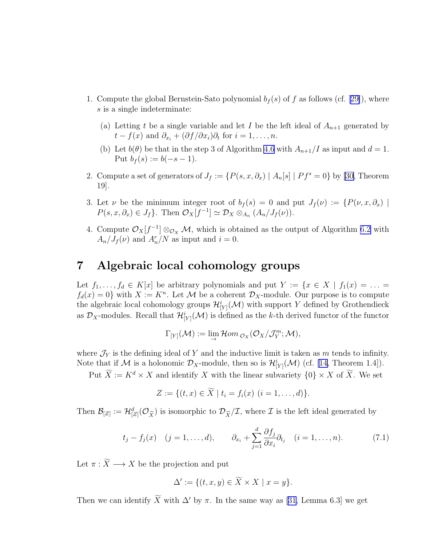- 1.Compute the global Bernstein-Sato polynomial  $b_f(s)$  of f as follows (cf. [[29\]](#page-35-0)), where s is a single indeterminate:
	- (a) Letting t be a single variable and let I be the left ideal of  $A_{n+1}$  generated by  $t - f(x)$  and  $\partial_{x_i} + (\partial f/\partial x_i)\partial_t$  for  $i = 1, \ldots, n$ .
	- (b) Let  $b(\theta)$  be that in the step 3 of Algorithm [4.6](#page-12-0) with  $A_{n+1}/I$  as input and  $d = 1$ . Put  $b_f(s) := b(-s-1)$ .
- 2. Compute a set of generators of  $J_f := \{P(s, x, \partial_x) | A_n[s] | P f^s = 0\}$  by [\[30](#page-35-0), Theorem 19].
- 3. Let  $\nu$  be the minimum integer root of  $b_f(s) = 0$  and put  $J_f(\nu) := \{P(\nu, x, \partial_x) \mid$  $P(s, x, \partial_x) \in J_f$ . Then  $\mathcal{O}_X[f^{-1}] \simeq \mathcal{D}_X \otimes_{A_n} (A_n/J_f(\nu)).$
- 4. Compute  $\mathcal{O}_X[f^{-1}] \otimes_{\mathcal{O}_X} \mathcal{M}$ , which is obtained as the output of Algorithm [6.2](#page-20-0) with  $A_n/J_f(\nu)$  and  $A_n^r/N$  as input and  $i=0$ .

#### 7 Algebraic local cohomology groups

Let  $f_1, \ldots, f_d \in K[x]$  be arbitrary polynomials and put  $Y := \{x \in X \mid f_1(x) = \ldots =$  $f_d(x) = 0$  with  $X := K^n$ . Let M be a coherent  $\mathcal{D}_X$ -module. Our purpose is to compute the algebraic local cohomology groups  $\mathcal{H}^i_{[Y]}(\mathcal{M})$  with support Y defined by Grothendieck as  $\mathcal{D}_X$ -modules. Recall that  $\mathcal{H}^i_{[Y]}(\mathcal{M})$  is defined as the k-th derived functor of the functor

$$
\Gamma_{[Y]}(\mathcal{M}):=\lim_{\rightarrow}\mathcal{H}om_{\mathcal{O}_X}(\mathcal{O}_X/\mathcal{J}_Y^m;\mathcal{M}),
$$

where  $\mathcal{J}_Y$  is the defining ideal of Y and the inductive limit is taken as m tends to infinity. Note that if M is a holonomic  $\mathcal{D}_X$ -module, then so is  $\mathcal{H}_{[Y]}^i(\mathcal{M})$  (cf. [\[14,](#page-34-0) Theorem 1.4]).

Put  $\widetilde{X} := K^d \times X$  and identify X with the linear subvariety  $\{0\} \times X$  of  $\widetilde{X}$ . We set

$$
Z := \{ (t, x) \in \widetilde{X} \mid t_i = f_i(x) \ (i = 1, \dots, d) \}.
$$

Then  $\mathcal{B}_{[Z]} := \mathcal{H}_{[Z]}^d(\mathcal{O}_{\widetilde{X}})$  is isomorphic to  $\mathcal{D}_{\widetilde{X}}/\mathcal{I}$ , where  $\mathcal I$  is the left ideal generated by

$$
t_j - f_j(x) \quad (j = 1, \dots, d), \qquad \partial_{x_i} + \sum_{j=1}^d \frac{\partial f_j}{\partial x_i} \partial_{t_j} \quad (i = 1, \dots, n). \tag{7.1}
$$

Let  $\pi : \widetilde{X} \longrightarrow X$  be the projection and put

$$
\Delta' := \{ (t, x, y) \in \widetilde{X} \times X \mid x = y \}.
$$

Then we can identify  $\widetilde{X}$  with  $\Delta'$  by  $\pi$ . In the same way as [\[31,](#page-35-0) Lemma 6.3] we get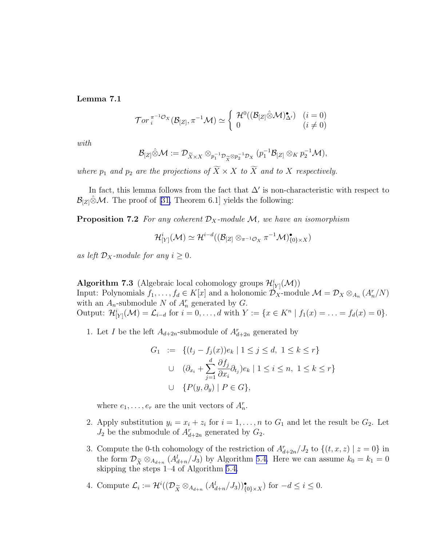<span id="page-23-0"></span>Lemma 7.1

$$
\operatorname{Tor}_i^{\pi^{-1}\mathcal{O}_X}(\mathcal{B}_{[Z]}, \pi^{-1}\mathcal{M}) \simeq \begin{cases} \mathcal{H}^0((\mathcal{B}_{[Z]}\hat{\otimes}\mathcal{M})_{\Delta'}^{\bullet}) & (i=0) \\ 0 & (i \neq 0) \end{cases}
$$

*with*

$$
\mathcal{B}_{[Z]}\hat{\otimes}\mathcal{M}:=\mathcal{D}_{\widetilde{X}\times X}\otimes_{p_1^{-1}\mathcal{D}_{\widetilde{X}}\otimes p_2^{-1}\mathcal{D}_X}(p_1^{-1}\mathcal{B}_{[Z]}\otimes_K p_2^{-1}\mathcal{M}),
$$

*where*  $p_1$  *and*  $p_2$  *are the projections of*  $X \times X$  *to* X *and to* X *respectively.* 

In fact, this lemma follows from the fact that  $\Delta'$  is non-characteristic with respect to  $\mathcal{B}_{[Z]}\hat{\otimes}\mathcal{M}$ . The proof of [\[31,](#page-35-0) Theorem 6.1] yields the following:

**Proposition 7.2** *For any coherent*  $\mathcal{D}_X$ *-module*  $\mathcal{M}$ *, we have an isomorphism* 

$$
\mathcal{H}^i_{[Y]}(\mathcal{M}) \simeq \mathcal{H}^{i-d}((\mathcal{B}_{[Z]} \otimes_{\pi^{-1}\mathcal{O}_X} \pi^{-1}\mathcal{M})_{\{0\} \times X}^{\bullet})
$$

*as left*  $\mathcal{D}_X$ *-module for any*  $i \geq 0$ *.* 

Algorithm 7.3 (Algebraic local cohomology groups  $\mathcal{H}^i_{[Y]}(\mathcal{M}))$ 

Input: Polynomials  $f_1, \ldots, f_d \in K[x]$  and a holonomic  $\mathcal{D}_X$ -module  $\mathcal{M} = \mathcal{D}_X \otimes_{A_n} (A_n^r/N)$ with an  $A_n$ -submodule N of  $A_n^r$  generated by G. Output:  $\mathcal{H}^i_{[Y]}(\mathcal{M}) = \mathcal{L}_{i-d}$  for  $i = 0, ..., d$  with  $Y := \{x \in K^n \mid f_1(x) = ... = f_d(x) = 0\}.$ 

1. Let I be the left  $A_{d+2n}$ -submodule of  $A_{d+2n}^r$  generated by

$$
G_1 := \{ (t_j - f_j(x))e_k \mid 1 \le j \le d, \ 1 \le k \le r \}
$$
  
\n
$$
\cup \quad (\partial_{x_i} + \sum_{j=1}^d \frac{\partial f_j}{\partial x_i} \partial_{t_j})e_k \mid 1 \le i \le n, \ 1 \le k \le r \}
$$
  
\n
$$
\cup \{ P(y, \partial_y) \mid P \in G \},
$$

where  $e_1, \ldots, e_r$  are the unit vectors of  $A_n^r$ .

- 2. Apply substitution  $y_i = x_i + z_i$  for  $i = 1, ..., n$  to  $G_1$  and let the result be  $G_2$ . Let  $J_2$  be the submodule of  $A_{d+2n}^r$  generated by  $G_2$ .
- 3. Compute the 0-th cohomology of the restriction of  $A_{d+2n}^r/J_2$  to  $\{(t, x, z) \mid z = 0\}$  in the form  $\mathcal{D}_{\widetilde{X}} \otimes_{A_{d+n}} (A_{d+n}^l / J_3)$  by Algorithm [5.4.](#page-17-0) Here we can assume  $k_0 = k_1 = 0$ skipping the steps 1–4 of Algorithm [5.4.](#page-17-0)
- 4. Compute  $\mathcal{L}_i := \mathcal{H}^i((\mathcal{D}_{\widetilde{X}} \otimes_{A_{d+n}} (A_{d+n}^l/J_3))_{\{0\}\times X}^{\bullet})$  for  $-d \leq i \leq 0$ .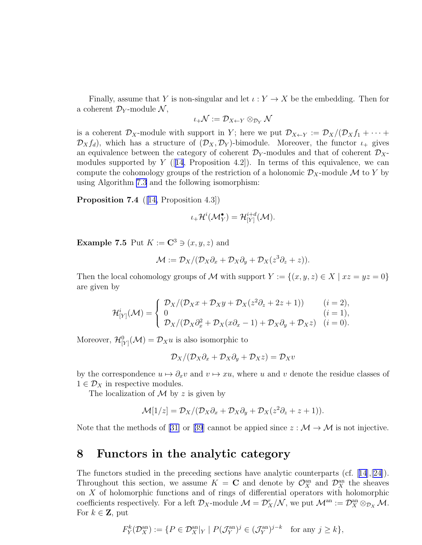<span id="page-24-0"></span>Finally, assume that Y is non-singular and let  $\iota: Y \to X$  be the embedding. Then for a coherent  $\mathcal{D}_Y$ -module  $\mathcal{N},$ 

$$
\iota_+\mathcal{N}:=\mathcal{D}_{X\leftarrow Y}\otimes_{\mathcal{D}_Y}\mathcal{N}
$$

is a coherent  $\mathcal{D}_X$ -module with support in Y; here we put  $\mathcal{D}_{X\leftarrow Y} := \mathcal{D}_X/(\mathcal{D}_X f_1 + \cdots +$  $\mathcal{D}_X f_d$ , which has a structure of  $(\mathcal{D}_X, \mathcal{D}_Y)$ -bimodule. Moreover, the functor  $\iota_+$  gives an equivalence between the category of coherent  $\mathcal{D}_Y$ -modules and that of coherent  $\mathcal{D}_X$ modules supported by  $Y$  ([[14](#page-34-0), Proposition 4.2]). In terms of this equivalence, we can compute the cohomology groups of the restriction of a holonomic  $\mathcal{D}_X$ -module M to Y by using Algorithm [7.3](#page-23-0) and the following isomorphism:

Proposition 7.4 ([[14,](#page-34-0) Proposition 4.3])

$$
\iota_+\mathcal{H}^i(\mathcal{M}_Y^{\bullet})=\mathcal{H}^{i+d}_{[Y]}(\mathcal{M}).
$$

Example 7.5 Put  $K := \mathbb{C}^3 \ni (x, y, z)$  and

$$
\mathcal{M} := \mathcal{D}_X/(\mathcal{D}_X\partial_x + \mathcal{D}_X\partial_y + \mathcal{D}_X(z^3\partial_z + z)).
$$

Then the local cohomology groups of M with support  $Y := \{(x, y, z) \in X \mid xz = yz = 0\}$ are given by

$$
\mathcal{H}_{[Y]}^i(\mathcal{M}) = \begin{cases} \mathcal{D}_X/(\mathcal{D}_X x + \mathcal{D}_X y + \mathcal{D}_X (z^2 \partial_z + 2z + 1)) & (i = 2), \\ 0 & (i = 1), \\ \mathcal{D}_X/(\mathcal{D}_X \partial_x^2 + \mathcal{D}_X (x \partial_x - 1) + \mathcal{D}_X \partial_y + \mathcal{D}_X z) & (i = 0). \end{cases}
$$

Moreover,  $\mathcal{H}^0_{[Y]}(\mathcal{M}) = \mathcal{D}_X u$  is also isomorphic to

$$
\mathcal{D}_X/(\mathcal{D}_X\partial_x+\mathcal{D}_X\partial_y+\mathcal{D}_Xz)=\mathcal{D}_Xv
$$

by the correspondence  $u \mapsto \partial_x v$  and  $v \mapsto xu$ , where u and v denote the residue classes of  $1 \in \mathcal{D}_X$  in respective modules.

The localization of  $\mathcal M$  by z is given by

$$
\mathcal{M}[1/z] = \mathcal{D}_X/(\mathcal{D}_X\partial_x + \mathcal{D}_X\partial_y + \mathcal{D}_X(z^2\partial_z + z + 1)).
$$

Note that the methods of [\[31\]](#page-35-0)or [[39](#page-36-0)] cannot be appied since  $z : \mathcal{M} \to \mathcal{M}$  is not injective.

#### 8 Functors in the analytic category

The functors studied in the preceding sections have analytic counterparts (cf.[[14](#page-34-0)],[\[24\]](#page-35-0)). Throughout this section, we assume  $K = \mathbf{C}$  and denote by  $\mathcal{O}_X^{\text{an}}$  and  $\mathcal{D}_X^{\text{an}}$  the sheaves on X of holomorphic functions and of rings of differential operators with holomorphic coefficients respectively. For a left  $\mathcal{D}_X$ -module  $\mathcal{M} = \mathcal{D}_X^r/\mathcal{N}$ , we put  $\mathcal{M}^{\text{an}} := \mathcal{D}_X^{\text{an}} \otimes_{\mathcal{D}_X} \mathcal{M}$ . For  $k \in \mathbf{Z}$ , put

$$
F_Y^k(\mathcal{D}_X^{\text{an}}) := \{ P \in \mathcal{D}_X^{\text{an}} | _Y \mid P(\mathcal{J}_Y^{\text{an}})^j \in (\mathcal{J}_Y^{\text{an}})^{j-k} \text{ for any } j \geq k \},
$$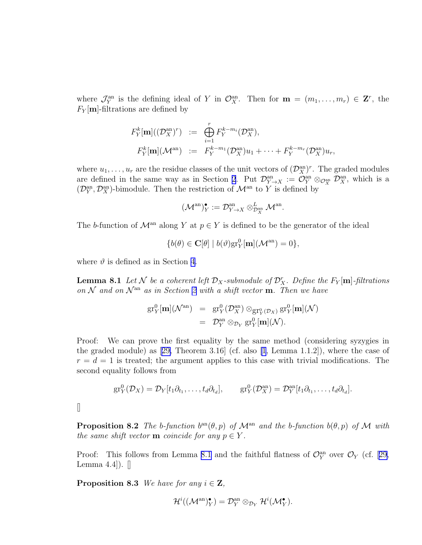<span id="page-25-0"></span>where  $\mathcal{J}_Y^{\text{an}}$  is the defining ideal of Y in  $\mathcal{O}_X^{\text{an}}$ . Then for  $\mathbf{m} = (m_1, \ldots, m_r) \in \mathbf{Z}^r$ , the  $F_Y[\textbf{m}]$ -filtrations are defined by

$$
F_Y^k[\mathbf{m}]((\mathcal{D}_X^{\mathrm{an}})^r) := \bigoplus_{i=1}^r F_Y^{k-m_i}(\mathcal{D}_X^{\mathrm{an}}),
$$
  

$$
F_Y^k[\mathbf{m}](\mathcal{M}^{\mathrm{an}}) := F_Y^{k-m_1}(\mathcal{D}_X^{\mathrm{an}})u_1 + \cdots + F_Y^{k-m_r}(\mathcal{D}_X^{\mathrm{an}})u_r,
$$

where  $u_1, \ldots, u_r$  are the residue classes of the unit vectors of  $(\mathcal{D}_X^{\text{an}})^r$ . The graded modules are defined in the same way as in Section [2](#page-2-0). Put  $\mathcal{D}_{Y\to X}^{\text{an}} := \mathcal{O}_Y^{\text{an}} \otimes_{\mathcal{O}_X^{\text{an}}} \mathcal{D}_X^{\text{an}}$ , which is a  $(\mathcal{D}_Y^{\text{an}}, \mathcal{D}_X^{\text{an}})$ -bimodule. Then the restriction of  $\mathcal{M}^{\text{an}}$  to Y is defined by

$$
(\mathcal{M}^{\mathrm{an}})_Y^{\bullet}:=\mathcal{D}_{Y\to X}^{\mathrm{an}}\otimes_{\mathcal{D}_{X}^{\mathrm{an}}}^L\mathcal{M}^{\mathrm{an}}.
$$

The b-function of  $\mathcal{M}^{\text{an}}$  along Y at  $p \in Y$  is defined to be the generator of the ideal

$$
\{b(\theta) \in \mathbf{C}[\theta] \mid b(\vartheta) \text{gr}_Y^0[\mathbf{m}](\mathcal{M}^\text{an}) = 0\},\
$$

where  $\vartheta$  is defined as in Section [4.](#page-8-0)

**Lemma 8.1** Let N be a coherent left  $\mathcal{D}_X$ -submodule of  $\mathcal{D}_X^r$ . Define the  $F_Y[\mathbf{m}]$ -filtrations *on* N *and on* N an *as in Section [2](#page-2-0) with a shift vector* m*. Then we have*

$$
gr_Y^0[\mathbf{m}](\mathcal{N}^{an}) = gr_Y^0(\mathcal{D}_X^{an}) \otimes_{gr_Y^0(\mathcal{D}_X)} gr_Y^0[\mathbf{m}](\mathcal{N})
$$
  
=  $\mathcal{D}_Y^{an} \otimes_{\mathcal{D}_Y} gr_Y^0[\mathbf{m}](\mathcal{N}).$ 

Proof: We can prove the first equality by the same method (considering syzygies in thegraded module) as  $[29,$  $[29,$  Theorem 3.16 (cf. also  $[1,$  Lemma 1.1.2), where the case of  $r = d = 1$  is treated; the argument applies to this case with trivial modifications. The second equality follows from

$$
\text{gr}_Y^0(\mathcal{D}_X)=\mathcal{D}_Y[t_1\partial_{t_1},\ldots,t_d\partial_{t_d}],\qquad \text{gr}_Y^0(\mathcal{D}_X^{\text{an}})=\mathcal{D}_Y^{\text{an}}[t_1\partial_{t_1},\ldots,t_d\partial_{t_d}].
$$

 $\Box$ 

**Proposition 8.2** *The b*-function  $b^{an}(\theta, p)$  *of*  $\mathcal{M}^{an}$  *and* the *b*-function  $b(\theta, p)$  *of*  $\mathcal{M}$  *with the same shift vector* **m** *coincide for any*  $p \in Y$ *.* 

Proof:This follows from Lemma 8.1 and the faithful flatness of  $\mathcal{O}_{Y}^{\text{an}}$  over  $\mathcal{O}_{Y}$  (cf. [[29,](#page-35-0) Lemma  $4.4$ ]).  $\Box$ 

**Proposition 8.3** *We have for any*  $i \in \mathbf{Z}$ *,* 

$$
\mathcal{H}^i((\mathcal{M}^{\mathrm{an}})_Y^{\bullet}) = \mathcal{D}_Y^{\mathrm{an}} \otimes_{\mathcal{D}_Y} \mathcal{H}^i(\mathcal{M}_Y^{\bullet}).
$$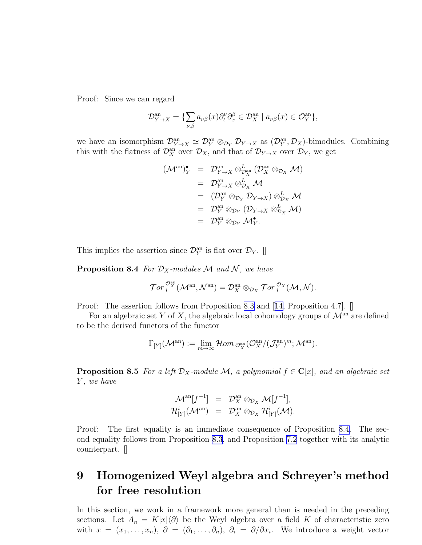<span id="page-26-0"></span>Proof: Since we can regard

$$
\mathcal{D}_{Y\to X}^{\text{an}} = \{ \sum_{\nu,\beta} a_{\nu\beta}(x) \partial_t^{\nu} \partial_x^{\beta} \in \mathcal{D}_X^{\text{an}} \mid a_{\nu\beta}(x) \in \mathcal{O}_Y^{\text{an}} \},
$$

we have an isomorphism  $\mathcal{D}_{Y\to X}^{an} \simeq \mathcal{D}_{Y}^{an} \otimes_{\mathcal{D}_{Y}} \mathcal{D}_{Y\to X}$  as  $(\mathcal{D}_{Y}^{an}, \mathcal{D}_{X})$ -bimodules. Combining this with the flatness of  $\mathcal{D}_X^{\text{an}}$  over  $\mathcal{D}_X$ , and that of  $\mathcal{D}_{Y\to X}$  over  $\mathcal{D}_Y$ , we get

$$
\begin{array}{rcl}\n(\mathcal{M}^{\mathrm{an}})_{Y}^{*} & = & \mathcal{D}_{Y \to X}^{\mathrm{an}} \otimes_{\mathcal{D}_{X}^{\mathrm{an}}} (\mathcal{D}_{X}^{\mathrm{an}} \otimes_{\mathcal{D}_{X}} \mathcal{M}) \\
 & = & \mathcal{D}_{Y \to X}^{\mathrm{an}} \otimes_{\mathcal{D}_{X}}^L \mathcal{M} \\
 & = & (\mathcal{D}_{Y}^{\mathrm{an}} \otimes_{\mathcal{D}_{Y}} \mathcal{D}_{Y \to X}) \otimes_{\mathcal{D}_{X}}^L \mathcal{M} \\
 & = & \mathcal{D}_{Y}^{\mathrm{an}} \otimes_{\mathcal{D}_{Y}} (\mathcal{D}_{Y \to X} \otimes_{\mathcal{D}_{X}}^L \mathcal{M}) \\
 & = & \mathcal{D}_{Y}^{\mathrm{an}} \otimes_{\mathcal{D}_{Y}} \mathcal{M}_{Y}^*.\n\end{array}
$$

This implies the assertion since  $\mathcal{D}_Y^{\text{an}}$  is flat over  $\mathcal{D}_Y$ . []

**Proposition 8.4** *For*  $\mathcal{D}_X$ *-modules*  $\mathcal M$  *and*  $\mathcal N$ *, we have* 

$$
{\mathcal T}or^{{\mathcal O}^{\mathrm{an}}_X}_i({\mathcal M}^{\mathrm{an}},{\mathcal N}^{\mathrm{an}})={\mathcal D}^{\mathrm{an}}_X\otimes_{{\mathcal D}_X}{\mathcal T}or^{{\mathcal O}_X}_i({\mathcal M},{\mathcal N}).
$$

Proof: The assertion follows from Proposition [8.3](#page-25-0)and [[14,](#page-34-0) Proposition 4.7]. [

For an algebraic set Y of X, the algebraic local cohomology groups of  $\mathcal{M}^{\text{an}}$  are defined to be the derived functors of the functor

$$
\Gamma_{[Y]}(\mathcal{M}^{\mathrm{an}}):=\lim_{m\to\infty}\mathcal{H}om_{\mathcal{O}_X^{\mathrm{an}}}(\mathcal{O}_X^{\mathrm{an}}/(\mathcal{J}_Y^{\mathrm{an}})^m;\mathcal{M}^{\mathrm{an}}).
$$

**Proposition 8.5** *For a left*  $\mathcal{D}_X$ -module  $\mathcal{M}$ *, a polynomial*  $f \in \mathbb{C}[x]$ *, and an algebraic set* Y *, we have*

$$
\mathcal{M}^{\mathrm{an}}[f^{-1}] = \mathcal{D}_X^{\mathrm{an}} \otimes_{\mathcal{D}_X} \mathcal{M}[f^{-1}],
$$
  

$$
\mathcal{H}^i_{[Y]}(\mathcal{M}^{\mathrm{an}}) = \mathcal{D}_X^{\mathrm{an}} \otimes_{\mathcal{D}_X} \mathcal{H}^i_{[Y]}(\mathcal{M}).
$$

Proof: The first equality is an immediate consequence of Proposition 8.4. The second equality follows from Proposition [8.3](#page-25-0), and Proposition [7.2](#page-23-0) together with its analytic counterpart. []

## 9 Homogenized Weyl algebra and Schreyer's method for free resolution

In this section, we work in a framework more general than is needed in the preceding sections. Let  $A_n = K[x]\langle \partial \rangle$  be the Weyl algebra over a field K of characteristic zero with  $x = (x_1, \ldots, x_n), \; \partial = (\partial_1, \ldots, \partial_n), \; \partial_i = \partial/\partial x_i$ . We introduce a weight vector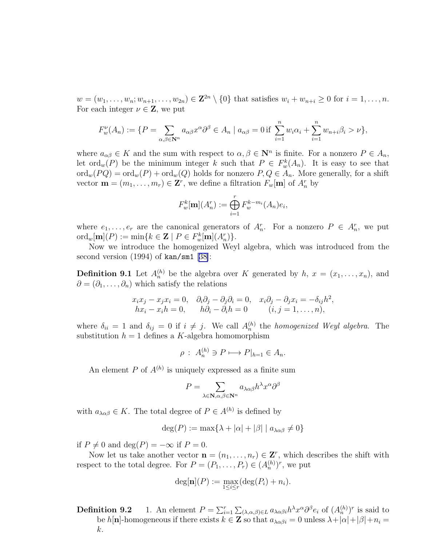$w = (w_1, \ldots, w_n; w_{n+1}, \ldots, w_{2n}) \in \mathbb{Z}^{2n} \setminus \{0\}$  that satisfies  $w_i + w_{n+i} \geq 0$  for  $i = 1, \ldots, n$ . For each integer  $\nu \in \mathbb{Z}$ , we put

$$
F_w^{\nu}(A_n) := \{ P = \sum_{\alpha, \beta \in \mathbf{N}^n} a_{\alpha\beta} x^{\alpha} \partial^{\beta} \in A_n \mid a_{\alpha\beta} = 0 \text{ if } \sum_{i=1}^n w_i \alpha_i + \sum_{i=1}^n w_{n+i} \beta_i > \nu \},
$$

where  $a_{\alpha\beta} \in K$  and the sum with respect to  $\alpha, \beta \in \mathbb{N}^n$  is finite. For a nonzero  $P \in A_n$ , let ord<sub>w</sub>(P) be the minimum integer k such that  $P \in F_w^k(A_n)$ . It is easy to see that  $\text{ord}_w(PQ) = \text{ord}_w(P) + \text{ord}_w(Q)$  holds for nonzero  $P, Q \in A_n$ . More generally, for a shift vector  $\mathbf{m} = (m_1, \dots, m_r) \in \mathbf{Z}^r$ , we define a filtration  $F_w[\mathbf{m}]$  of  $A_n^r$  by

$$
F_w^k[\mathbf{m}](A_n^r) := \bigoplus_{i=1}^r F_w^{k-m_i}(A_n)e_i,
$$

where  $e_1, \ldots, e_r$  are the canonical generators of  $A_n^r$ . For a nonzero  $P \in A_n^r$ , we put  $\mathrm{ord}_w[\mathbf{m}](P) := \min\{k \in \mathbf{Z} \mid P \in F_w^k[\mathbf{m}](A_n^r)\}.$ 

Now we introduce the homogenized Weyl algebra, which was introduced from the second version  $(1994)$  of kan/sm1 [[38\]](#page-36-0):

**Definition 9.1** Let  $A_n^{(h)}$  be the algebra over K generated by  $h, x = (x_1, \ldots, x_n)$ , and  $\partial = (\partial_1, \ldots, \partial_n)$  which satisfy the relations

$$
x_i x_j - x_j x_i = 0, \quad \partial_i \partial_j - \partial_j \partial_i = 0, \quad x_i \partial_j - \partial_j x_i = -\delta_{ij} h^2, hx_i - x_i h = 0, \qquad h \partial_i - \partial_i h = 0 \qquad (i, j = 1, ..., n),
$$

where  $\delta_{ii} = 1$  and  $\delta_{ij} = 0$  if  $i \neq j$ . We call  $A_n^{(h)}$  the *homogenized Weyl algebra*. The substitution  $h = 1$  defines a K-algebra homomorphism

$$
\rho: A_n^{(h)} \ni P \longmapsto P|_{h=1} \in A_n.
$$

An element P of  $A^{(h)}$  is uniquely expressed as a finite sum

$$
P = \sum_{\lambda \in \mathbf{N}, \alpha, \beta \in \mathbf{N}^n} a_{\lambda \alpha \beta} h^{\lambda} x^{\alpha} \partial^{\beta}
$$

with  $a_{\lambda\alpha\beta} \in K$ . The total degree of  $P \in A^{(h)}$  is defined by

$$
\deg(P) := \max\{\lambda + |\alpha| + |\beta| \mid a_{\lambda\alpha\beta} \neq 0\}
$$

if  $P \neq 0$  and deg( $P$ ) =  $-\infty$  if  $P = 0$ .

Now let us take another vector  $\mathbf{n} = (n_1, \ldots, n_r) \in \mathbf{Z}^r$ , which describes the shift with respect to the total degree. For  $P = (P_1, \ldots, P_r) \in (A_n^{(h)})^r$ , we put

$$
\deg[\mathbf{n}](P) := \max_{1 \le i \le r} (\deg(P_i) + n_i).
$$

**Definition 9.2** 1. An element  $P = \sum_{i=1}^r \sum_{(\lambda,\alpha,\beta)\in L} a_{\lambda\alpha\beta i} h^{\lambda} x^{\alpha} \partial^{\beta} e_i$  of  $(A_n^{(h)})^r$  is said to be h[n]-homogeneous if there exists  $k \in \mathbb{Z}$  so that  $a_{\lambda \alpha \beta i} = 0$  unless  $\lambda + |\alpha| + |\beta| + n_i =$ k.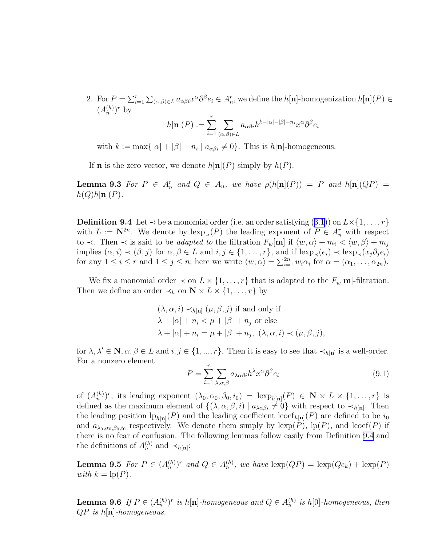<span id="page-28-0"></span>2. For  $P = \sum_{i=1}^r \sum_{(\alpha,\beta)\in L} a_{\alpha\beta i} x^{\alpha} \partial^{\beta} e_i \in A_n^r$ , we define the  $h[\mathbf{n}]$ -homogenization  $h[\mathbf{n}](P) \in$  $(A_n^{(h)})^r$  by

$$
h[\mathbf{n}](P):=\sum_{i=1}^r\sum_{(\alpha,\beta)\in L}a_{\alpha\beta i}h^{k-|\alpha|-|\beta|-n_i}x^\alpha\partial^\beta e_i
$$

with  $k := \max\{|\alpha| + |\beta| + n_i \mid a_{\alpha\beta i} \neq 0\}$ . This is  $h[\mathbf{n}]$ -homogeneous.

If **n** is the zero vector, we denote  $h[\mathbf{n}](P)$  simply by  $h(P)$ .

**Lemma 9.3** For  $P \in A_n^r$  and  $Q \in A_n$ , we have  $\rho(h[\mathbf{n}](P)) = P$  and  $h[\mathbf{n}](QP) =$  $h(Q)h[\mathbf{n}](P)$ .

**Definition9.4** Let  $\prec$  be a monomial order (i.e. an order satisfying ([3.1](#page-5-0))) on  $L \times \{1, \ldots, r\}$ with  $L := \mathbb{N}^{2n}$ . We denote by  $\text{lexp}_{\prec}(P)$  the leading exponent of  $P \in A_n^r$  with respect to  $\prec$ . Then  $\prec$  is said to be *adapted to* the filtration  $F_w[\mathbf{m}]$  if  $\langle w, \alpha \rangle + m_i \langle w, \beta \rangle + m_j$ implies  $(\alpha, i) \prec (\beta, j)$  for  $\alpha, \beta \in L$  and  $i, j \in \{1, \ldots, r\}$ , and if  $\text{lexp}_{\prec}(e_i) \prec \text{lexp}_{\prec}(x_j \partial_j e_i)$ for any  $1 \le i \le r$  and  $1 \le j \le n$ ; here we write  $\langle w, \alpha \rangle = \sum_{i=1}^{2n} w_i \alpha_i$  for  $\alpha = (\alpha_1, \dots, \alpha_{2n})$ .

We fix a monomial order  $\prec$  on  $L \times \{1, \ldots, r\}$  that is adapted to the  $F_w[\mathbf{m}]$ -filtration. Then we define an order  $\prec_h$  on  $\mathbb{N} \times L \times \{1, \ldots, r\}$  by

$$
(\lambda, \alpha, i) \prec_{h[\mathbf{n}]} (\mu, \beta, j) \text{ if and only if}
$$
  
\n
$$
\lambda + |\alpha| + n_i < \mu + |\beta| + n_j \text{ or else}
$$
  
\n
$$
\lambda + |\alpha| + n_i = \mu + |\beta| + n_j, \ (\lambda, \alpha, i) \prec (\mu, \beta, j),
$$

for  $\lambda, \lambda' \in \mathbb{N}, \alpha, \beta \in L$  and  $i, j \in \{1, ..., r\}$ . Then it is easy to see that  $\prec_{h[\mathbf{n}]}$  is a well-order. For a nonzero element

$$
P = \sum_{i=1}^{r} \sum_{\lambda,\alpha,\beta} a_{\lambda\alpha\beta i} h^{\lambda} x^{\alpha} \partial^{\beta} e_i
$$
 (9.1)

of  $(A_n^{(h)})^r$ , its leading exponent  $(\lambda_0, \alpha_0, \beta_0, i_0) = \text{lexp}_{h[\mathbf{n}]}(P) \in \mathbf{N} \times L \times \{1, \ldots, r\}$  is defined as the maximum element of  $\{(\lambda, \alpha, \beta, i) | a_{\lambda \alpha \beta i} \neq 0\}$  with respect to  $\prec_{h[\mathbf{n}]}$ . Then the leading position  $\text{lp}_{h[\textbf{n}]}(P)$  and the leading coefficient  $\text{loef}_{h[\textbf{n}]}(P)$  are defined to be  $i_0$ and  $a_{\lambda_0,\alpha_0,\beta_0,i_0}$  respectively. We denote them simply by  $\text{lexp}(P)$ ,  $\text{lp}(P)$ , and  $\text{loef}(P)$  if there is no fear of confusion. The following lemmas follow easily from Definition 9.4 and the definitions of  $A_n^{(h)}$  and  $\prec_{h[\mathbf{n}]}$ :

**Lemma 9.5** For  $P \in (A_n^{(h)})^r$  and  $Q \in A_n^{(h)}$ , we have  $\text{lexp}(QP) = \text{lexp}(Qe_k) + \text{lexp}(P)$ *with*  $k = \text{lp}(P)$ *.* 

**Lemma 9.6** If  $P \in (A_n^{(h)})^r$  is  $h[n]$ -homogeneous and  $Q \in A_n^{(h)}$  is  $h[0]$ -homogeneous, then QP *is* h[n]*-homogeneous.*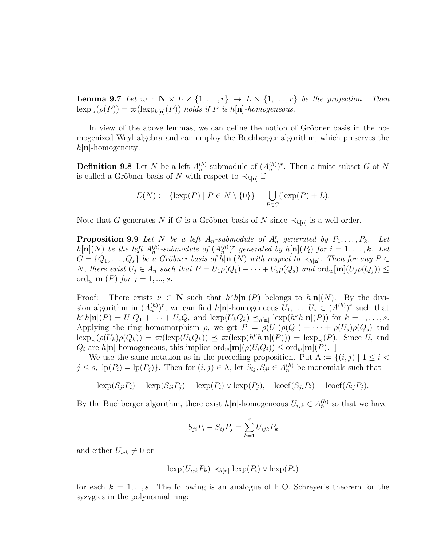<span id="page-29-0"></span>**Lemma 9.7** Let  $\varpi$  :  $N \times L \times \{1, ..., r\} \rightarrow L \times \{1, ..., r\}$  be the projection. Then  $\operatorname{lexp}_{\prec}(\rho(P)) = \varpi(\operatorname{lexp}_{h[\mathbf{n}]}(P))$  *holds if* P *is* h[**n**]-homogeneous.

In view of the above lemmas, we can define the notion of Gröbner basis in the homogenized Weyl algebra and can employ the Buchberger algorithm, which preserves the  $h[n]$ -homogeneity:

**Definition 9.8** Let N be a left  $A_n^{(h)}$ -submodule of  $(A_n^{(h)})^r$ . Then a finite subset G of N is called a Gröbner basis of N with respect to  $\prec_{h[\mathbf{n}]}$  if

$$
E(N) := \{ \text{lexp}(P) \mid P \in N \setminus \{0\} \} = \bigcup_{P \in G} (\text{lexp}(P) + L).
$$

Note that G generates N if G is a Gröbner basis of N since  $\prec_{h[\mathbf{n}]}$  is a well-order.

**Proposition 9.9** Let N be a left  $A_n$ -submodule of  $A_n^r$  generated by  $P_1, \ldots, P_k$ . Let  $h[\mathbf{n}](N)$  be the left  $A_n^{(h)}$ -submodule of  $(A_n^{(h)})^r$  generated by  $h[\mathbf{n}](P_i)$  for  $i = 1, \ldots, k$ . Let  $G = \{Q_1, \ldots, Q_s\}$  be a Gröbner basis of  $h[\mathbf{n}](N)$  with respect to  $\prec_{h[\mathbf{n}]}$ . Then for any  $P \in$ *N*, there exist  $U_j \in A_n$  such that  $P = U_1 \rho(Q_1) + \cdots + U_s \rho(Q_s)$  and  $\text{ord}_w[\mathbf{m}](U_j \rho(Q_j)) \leq$  $\text{ord}_{w}[\mathbf{m}](P)$  *for*  $j = 1, ..., s$ *.* 

Proof: There exists  $\nu \in \mathbb{N}$  such that  $h^{\nu}h[\mathbf{n}](P)$  belongs to  $h[\mathbf{n}](N)$ . By the division algorithm in  $(A_n^{(h)})^r$ , we can find  $h[n]$ -homogeneous  $U_1, \ldots, U_s \in (A^{(h)})^r$  such that  $h^{\nu}h[\mathbf{n}](P) = U_1Q_1 + \cdots + U_sQ_s$  and  $\operatorname{exp}(U_kQ_k) \preceq_{h[\mathbf{n}]} \operatorname{exp}(h^{\nu}h[\mathbf{n}](P))$  for  $k = 1, \ldots, s$ . Applying the ring homomorphism  $\rho$ , we get  $P = \rho(U_1)\rho(Q_1) + \cdots + \rho(U_s)\rho(Q_s)$  and  $\operatorname{lexp}\nolimits_{\prec}(\rho(U_k)\rho(Q_k)) = \varpi(\operatorname{lexp}\nolimits(U_kQ_k)) \preceq \varpi(\operatorname{lexp}\nolimits(h^{\nu}h[\mathbf{n}](P))) = \operatorname{lexp}\nolimits_{\prec}(P)$ . Since  $U_i$  and  $Q_i$  are h[n]-homogeneous, this implies  $\text{ord}_w[\textbf{m}](\rho(U_iQ_i)) \leq \text{ord}_w[\textbf{m}](P)$ . [

We use the same notation as in the preceding proposition. Put  $\Lambda := \{(i, j) | 1 \leq i <$  $j \leq s$ ,  $\text{lp}(P_i) = \text{lp}(P_j)$ . Then for  $(i, j) \in \Lambda$ , let  $S_{ij}, S_{ji} \in A_n^{(h)}$  be monomials such that

$$
\text{lexp}(S_{ji}P_i) = \text{lexp}(S_{ij}P_j) = \text{lexp}(P_i) \lor \text{lexp}(P_j), \quad \text{loof}(S_{ji}P_i) = \text{loof}(S_{ij}P_j).
$$

By the Buchberger algorithm, there exist  $h[\mathbf{n}]$ -homogeneous  $U_{ijk} \in A_n^{(h)}$  so that we have

$$
S_{ji}P_i - S_{ij}P_j = \sum_{k=1}^s U_{ijk}P_k
$$

and either  $U_{ijk} \neq 0$  or

$$
\operatorname{lexp}(U_{ijk}P_k) \prec_{h[\mathbf{n}]} \operatorname{lexp}(P_i) \vee \operatorname{lexp}(P_j)
$$

for each  $k = 1, ..., s$ . The following is an analogue of F.O. Schreyer's theorem for the syzygies in the polynomial ring: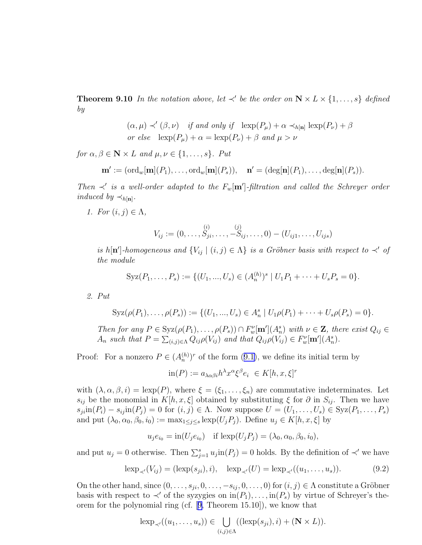<span id="page-30-0"></span>**Theorem 9.10** In the notation above, let  $\prec'$  be the order on  $N \times L \times \{1, \ldots, s\}$  defined *by*

> $(\alpha, \mu) \prec' (\beta, \nu)$  *if and only if*  $\operatorname{lexp}(P_{\mu}) + \alpha \prec_{h[\mathbf{n}]} \operatorname{lexp}(P_{\nu}) + \beta$ *or else*  $\operatorname{lexp}(P_{\mu}) + \alpha = \operatorname{lexp}(P_{\nu}) + \beta$  *and*  $\mu > \nu$

*for*  $\alpha, \beta \in \mathbb{N} \times L$  *and*  $\mu, \nu \in \{1, \ldots, s\}$ *. Put* 

$$
\mathbf{m}' := (\text{ord}_w[\mathbf{m}](P_1), \dots, \text{ord}_w[\mathbf{m}](P_s)), \quad \mathbf{n}' = (\text{deg}[\mathbf{n}](P_1), \dots, \text{deg}[\mathbf{n}](P_s)).
$$

*Then*  $\prec'$  *is a well-order adapted to the*  $F_w[\mathbf{m}']$ -*filtration and called the Schreyer order induced by*  $\prec_{h[\mathbf{n}]}$ .

*1.* For  $(i, j) \in \Lambda$ ,

$$
V_{ij} := (0, \ldots, S_{ji}, \ldots, -S_{ij}, \ldots, 0) - (U_{ij1}, \ldots, U_{ijs})
$$

*is* h[n']-homogeneous and  ${V_{ij} | (i,j) \in \Lambda}$  *is a Gröbner basis with respect to*  $\prec'$  *of the module*

$$
Syz(P_1,\ldots,P_s):=\{(U_1,...,U_s)\in (A_n^{(h)})^s\mid U_1P_1+\cdots+U_sP_s=0\}.
$$

*2. Put*

$$
Syz(\rho(P_1),..., \rho(P_s)) := \{ (U_1,...,U_s) \in A_n^s \mid U_1 \rho(P_1) + \cdots + U_s \rho(P_s) = 0 \}.
$$

*Then for any*  $P \in \text{Syz}(\rho(P_1), \ldots, \rho(P_s)) \cap F_w^{\nu}[\mathbf{m}'](A_n^s)$  with  $\nu \in \mathbf{Z}$ , there exist  $Q_{ij} \in$  $A_n$  such that  $P = \sum_{(i,j) \in \Lambda} Q_{ij} \rho(V_{ij})$  and that  $Q_{ij} \rho(V_{ij}) \in F_w^{\nu}[m'](A_n^s)$ .

Proof:For a nonzero  $P \in (A_n^{(h)})^r$  of the form  $(9.1)$  $(9.1)$ , we define its initial term by

$$
\text{in}(P) := a_{\lambda\alpha\beta i} h^{\lambda} x^{\alpha} \xi^{\beta} e_i \ \in K[h, x, \xi]^r
$$

with  $(\lambda, \alpha, \beta, i) = \text{lexp}(P)$ , where  $\xi = (\xi_1, \dots, \xi_n)$  are commutative indeterminates. Let  $s_{ij}$  be the monomial in  $K[h, x, \xi]$  obtained by substituting  $\xi$  for  $\partial$  in  $S_{ij}$ . Then we have  $s_{ji}$ in $(P_i) - s_{ij}$ in $(P_j) = 0$  for  $(i, j) \in \Lambda$ . Now suppose  $U = (U_1, \ldots, U_s) \in Syz(P_1, \ldots, P_s)$ and put  $(\lambda_0, \alpha_0, \beta_0, i_0) := \max_{1 \leq i \leq s} \exp(U_i P_i)$ . Define  $u_i \in K[h, x, \xi]$  by

$$
u_j e_{i_0} = \text{in}(U_j e_{i_0})
$$
 if  $\text{lexp}(U_j P_j) = (\lambda_0, \alpha_0, \beta_0, i_0)$ ,

and put  $u_j = 0$  otherwise. Then  $\sum_{j=1}^s u_j$  in  $(P_j) = 0$  holds. By the definition of  $\prec'$  we have

$$
\text{lexp}_{\prec'}(V_{ij}) = (\text{lexp}(s_{ji}), i), \quad \text{lexp}_{\prec'}(U) = \text{lexp}_{\prec'}((u_1, \dots, u_s)).
$$
 (9.2)

On the other hand, since  $(0, \ldots, s_{ji}, 0, \ldots, -s_{ij}, 0, \ldots, 0)$  for  $(i, j) \in \Lambda$  constitute a Gröbner basis with respect to  $\prec'$  of the syzygies on  $\text{in}(P_1), \ldots, \text{in}(P_s)$  by virtue of Schreyer's theorem for the polynomial ring (cf.[[9,](#page-34-0) Theorem 15.10]), we know that

$$
\operatorname{lexp}_{\prec'}((u_1,\ldots,u_s)) \in \bigcup_{(i,j)\in\Lambda}((\operatorname{lexp}(s_{ji}),i) + (\mathbf{N}\times L)).
$$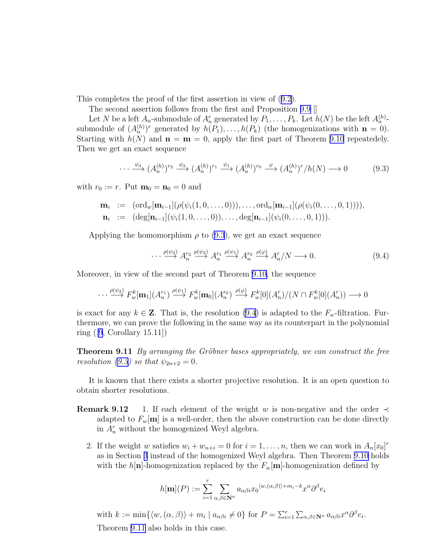This completes the proof of the first assertion in view of([9.2\)](#page-30-0).

The second assertion follows from the first and Proposition [9.9](#page-29-0) []

Let N be a left  $A_n$ -submodule of  $A_n^r$  generated by  $P_1, \ldots, P_k$ . Let  $h(N)$  be the left  $A_n^{(h)}$ submodule of  $(A_n^{(h)})^r$  generated by  $h(P_1), \ldots, h(P_k)$  (the homogenizations with  $n = 0$ ). Starting with  $h(N)$  and  $n = m = 0$ , apply the first part of Theorem [9.10](#page-29-0) repeatedely. Then we get an exact sequence

$$
\cdots \xrightarrow{\psi_3} (A_n^{(h)})^{r_2} \xrightarrow{\psi_2} (A_n^{(h)})^{r_1} \xrightarrow{\psi_1} (A_n^{(h)})^{r_0} \xrightarrow{\varphi} (A_n^{(h)})^r / h(N) \longrightarrow 0 \tag{9.3}
$$

with  $r_0 := r$ . Put  $\mathbf{m}_0 = \mathbf{n}_0 = 0$  and

$$
\mathbf{m}_i := (\text{ord}_w[\mathbf{m}_{i-1}](\rho(\psi_i(1,0,\ldots,0))), \ldots, \text{ord}_w[\mathbf{m}_{i-1}](\rho(\psi_i(0,\ldots,0,1))),
$$
  
\n
$$
\mathbf{n}_i := (\text{deg}[\mathbf{n}_{i-1}](\psi_i(1,0,\ldots,0)), \ldots, \text{deg}[\mathbf{n}_{i-1}](\psi_i(0,\ldots,0,1))).
$$

Applying the homomorphism  $\rho$  to (9.3), we get an exact sequence

$$
\cdots \xrightarrow{\rho(\psi_3)} A_n^{r_2} \xrightarrow{\rho(\psi_2)} A_n^{r_1} \xrightarrow{\rho(\psi_1)} A_n^{r_0} \xrightarrow{\rho(\varphi)} A_n^{r}/N \longrightarrow 0. \tag{9.4}
$$

Moreover, in view of the second part of Theorem [9.10,](#page-29-0) the sequence

$$
\cdots \xrightarrow{\rho(\psi_2)} F_w^k[\mathbf{m}_1](A_n^{r_1}) \xrightarrow{\rho(\psi_1)} F_w^k[\mathbf{m}_0](A_n^{r_0}) \xrightarrow{\rho(\varphi)} F_w^k[0](A_n^{r})/(N \cap F_w^k[0](A_n^{r})) \longrightarrow 0
$$

is exact for any  $k \in \mathbb{Z}$ . That is, the resolution (9.4) is adapted to the  $F_w$ -filtration. Furthermore, we can prove the following in the same way as its counterpart in the polynomial ring ([\[9](#page-34-0), Corollary 15.11])

Theorem 9.11 *By arranging the Gröbner bases appropriately, we can construct the free resolution (9.3) so that*  $\psi_{2n+2} = 0$ *.* 

It is known that there exists a shorter projective resolution. It is an open question to obtain shorter resolutions.

- **Remark 9.12** 1. If each element of the weight w is non-negative and the order  $\prec$ adapted to  $F_w[\mathbf{m}]$  is a well-order, then the above construction can be done directly in  $A_n^r$  without the homogenized Weyl algebra.
	- 2. If the weight w satisfies  $w_i + w_{n+i} = 0$  for  $i = 1, \ldots, n$ , then we can work in  $A_n[x_0]^r$ as in Section [3](#page-5-0) instead of the homogenized Weyl algebra. Then Theorem [9.10](#page-29-0) holds with the h[n]-homogenization replaced by the  $F_w$ [m]-homogenization defined by

$$
h[\mathbf{m}](P):=\sum_{i=1}^r\sum_{\alpha,\beta\in\mathbf{N}^n}a_{\alpha\beta i}x_0\langle w,(\alpha,\beta)\rangle+m_i-k}x^{\alpha}\partial^{\beta}e_i
$$

with  $k := \min\{\langle w, (\alpha, \beta) \rangle + m_i \mid a_{\alpha\beta i} \neq 0\}$  for  $P = \sum_{i=1}^r \sum_{\alpha, \beta \in \mathbb{N}^n} a_{\alpha\beta i} x^{\alpha} \partial^{\beta} e_i$ . Theorem 9.11 also holds in this case.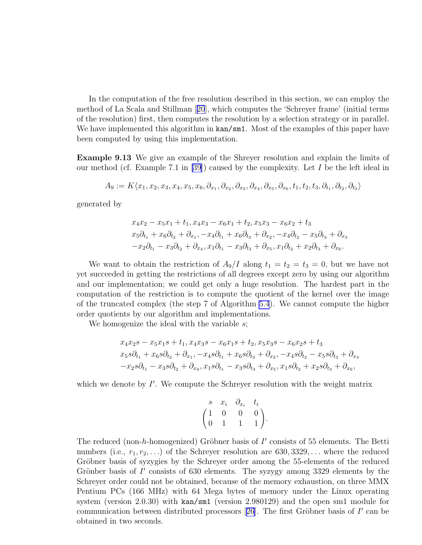In the computation of the free resolution described in this section, we can employ the method of La Scala and Stillman[[20](#page-34-0)], which computes the 'Schreyer frame' (initial terms of the resolution) first, then computes the resolution by a selection strategy or in parallel. We have implemented this algorithm in  $\text{kan/sm1}$ . Most of the examples of this paper have been computed by using this implementation.

Example 9.13 We give an example of the Shreyer resolution and explain the limits of our method (cf. Example 7.1 in [\[39\]](#page-36-0)) caused by the complexity. Let  $I$  be the left ideal in

$$
A_9 := K\langle x_1, x_2, x_3, x_4, x_5, x_6, \partial_{x_1}, \partial_{x_2}, \partial_{x_3}, \partial_{x_4}, \partial_{x_5}, \partial_{x_6}, t_1, t_2, t_3, \partial_{t_1}, \partial_{t_2}, \partial_{t_3} \rangle
$$

generated by

$$
x_4x_2 - x_5x_1 + t_1, x_4x_3 - x_6x_1 + t_2, x_5x_3 - x_6x_2 + t_3
$$
  
\n
$$
x_5\partial_{t_1} + x_6\partial_{t_2} + \partial_{x_1}, -x_4\partial_{t_1} + x_6\partial_{t_3} + \partial_{x_2}, -x_4\partial_{t_2} - x_5\partial_{t_3} + \partial_{x_3}
$$
  
\n
$$
-x_2\partial_{t_1} - x_3\partial_{t_2} + \partial_{x_4}, x_1\partial_{t_1} - x_3\partial_{t_3} + \partial_{x_5}, x_1\partial_{t_2} + x_2\partial_{t_3} + \partial_{x_6}.
$$

We want to obtain the restriction of  $A_9/I$  along  $t_1 = t_2 = t_3 = 0$ , but we have not yet succeeded in getting the restrictions of all degrees except zero by using our algorithm and our implementation; we could get only a huge resolution. The hardest part in the computation of the restriction is to compute the quotient of the kernel over the image of the truncated complex (the step 7 of Algorithm [5.4](#page-17-0)). We cannot compute the higher order quotients by our algorithm and implementations.

We homogenize the ideal with the variable s;

$$
x_4x_2s - x_5x_1s + t_1, x_4x_3s - x_6x_1s + t_2, x_5x_3s - x_6x_2s + t_3
$$
  
\n
$$
x_5s\partial_{t_1} + x_6s\partial_{t_2} + \partial_{x_1}, -x_4s\partial_{t_1} + x_6s\partial_{t_3} + \partial_{x_2}, -x_4s\partial_{t_2} - x_5s\partial_{t_3} + \partial_{x_3}
$$
  
\n
$$
-x_2s\partial_{t_1} - x_3s\partial_{t_2} + \partial_{x_4}, x_1s\partial_{t_1} - x_3s\partial_{t_3} + \partial_{x_5}, x_1s\partial_{t_2} + x_2s\partial_{t_3} + \partial_{x_6},
$$

which we denote by  $I'$ . We compute the Schreyer resolution with the weight matrix

$$
\begin{pmatrix} s & x_i & \partial_{x_i} & t_i \\ 1 & 0 & 0 & 0 \\ 0 & 1 & 1 & 1 \end{pmatrix}.
$$

The reduced (non-h-homogenized) Gröbner basis of  $I'$  consists of 55 elements. The Betti numbers (i.e.,  $r_1, r_2, \ldots$ ) of the Schreyer resolution are 630, 3329,... where the reduced Gröbner basis of syzygies by the Schreyer order among the 55-elements of the reduced Grönber basis of  $I'$  consists of 630 elements. The syzygy among 3329 elements by the Schreyer order could not be obtained, because of the memory exhaustion, on three MMX Pentium PCs (166 MHz) with 64 Mega bytes of memory under the Linux operating system (version 2.0.30) with kan/sm1 (version 2.980129) and the open sm1 module for communicationbetween distributed processors  $[26]$  $[26]$  $[26]$ . The first Gröbner basis of  $I'$  can be obtained in two seconds.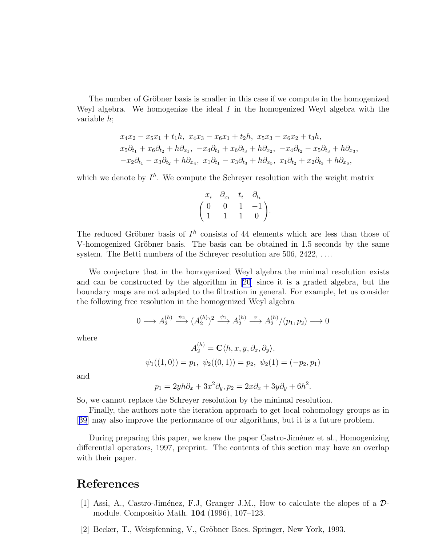<span id="page-33-0"></span>The number of Gröbner basis is smaller in this case if we compute in the homogenized Weyl algebra. We homogenize the ideal  $I$  in the homogenized Weyl algebra with the variable h;

$$
x_4x_2 - x_5x_1 + t_1h, x_4x_3 - x_6x_1 + t_2h, x_5x_3 - x_6x_2 + t_3h,
$$
  
\n
$$
x_5\partial_{t_1} + x_6\partial_{t_2} + h\partial_{x_1}, -x_4\partial_{t_1} + x_6\partial_{t_3} + h\partial_{x_2}, -x_4\partial_{t_2} - x_5\partial_{t_3} + h\partial_{x_3},
$$
  
\n
$$
-x_2\partial_{t_1} - x_3\partial_{t_2} + h\partial_{x_4}, x_1\partial_{t_1} - x_3\partial_{t_3} + h\partial_{x_5}, x_1\partial_{t_2} + x_2\partial_{t_3} + h\partial_{x_6},
$$

which we denote by  $I^h$ . We compute the Schreyer resolution with the weight matrix

$$
\begin{pmatrix} x_i & \partial_{x_i} & t_i & \partial_{t_i} \\ 0 & 0 & 1 & -1 \\ 1 & 1 & 1 & 0 \end{pmatrix}.
$$

The reduced Gröbner basis of  $I<sup>h</sup>$  consists of 44 elements which are less than those of V-homogenized Gröbner basis. The basis can be obtained in 1.5 seconds by the same system. The Betti numbers of the Schreyer resolution are 506, 2422, ...

We conjecture that in the homogenized Weyl algebra the minimal resolution exists and can be constructed by the algorithm in [\[20](#page-34-0)] since it is a graded algebra, but the boundary maps are not adapted to the filtration in general. For example, let us consider the following free resolution in the homogenized Weyl algebra

$$
0 \longrightarrow A_2^{(h)} \xrightarrow{\psi_2} (A_2^{(h)})^2 \xrightarrow{\psi_1} A_2^{(h)} \xrightarrow{\varphi} A_2^{(h)}/(p_1, p_2) \longrightarrow 0
$$

where

$$
A_2^{(h)} = \mathbf{C} \langle h, x, y, \partial_x, \partial_y \rangle,
$$
  

$$
\psi_1((1,0)) = p_1, \ \psi_2((0,1)) = p_2, \ \psi_2(1) = (-p_2, p_1)
$$

and

$$
p_1 = 2yh\partial_x + 3x^2\partial_y, p_2 = 2x\partial_x + 3y\partial_y + 6h^2.
$$

So, we cannot replace the Schreyer resolution by the minimal resolution.

Finally, the authors note the iteration approach to get local cohomology groups as in [[39](#page-36-0)] may also improve the performance of our algorithms, but it is a future problem.

During preparing this paper, we knew the paper Castro-Jiménez et al., Homogenizing differential operators, 1997, preprint. The contents of this section may have an overlap with their paper.

### References

- [1] Assi, A., Castro-Jiménez, F.J, Granger J.M., How to calculate the slopes of a  $\mathcal{D}$ module. Compositio Math. 104 (1996), 107–123.
- [2] Becker, T., Weispfenning, V., Gröbner Baes. Springer, New York, 1993.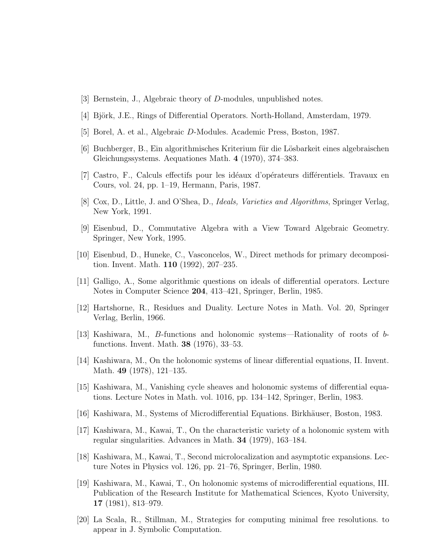- <span id="page-34-0"></span>[3] Bernstein, J., Algebraic theory of D-modules, unpublished notes.
- $[4]$  Björk, J.E., Rings of Differential Operators. North-Holland, Amsterdam, 1979.
- [5] Borel, A. et al., Algebraic D-Modules. Academic Press, Boston, 1987.
- [6] Buchberger, B., Ein algorithmisches Kriterium für die Lösbarkeit eines algebraischen Gleichungssystems. Aequationes Math. 4 (1970), 374–383.
- [7] Castro, F., Calculs effectifs pour les idéaux d'opérateurs différentiels. Travaux en Cours, vol. 24, pp. 1–19, Hermann, Paris, 1987.
- [8] Cox, D., Little, J. and O'Shea, D., *Ideals, Varieties and Algorithms*, Springer Verlag, New York, 1991.
- [9] Eisenbud, D., Commutative Algebra with a View Toward Algebraic Geometry. Springer, New York, 1995.
- [10] Eisenbud, D., Huneke, C., Vasconcelos, W., Direct methods for primary decomposition. Invent. Math. 110 (1992), 207–235.
- [11] Galligo, A., Some algorithmic questions on ideals of differential operators. Lecture Notes in Computer Science 204, 413–421, Springer, Berlin, 1985.
- [12] Hartshorne, R., Residues and Duality. Lecture Notes in Math. Vol. 20, Springer Verlag, Berlin, 1966.
- [13] Kashiwara, M., B-functions and holonomic systems—Rationality of roots of bfunctions. Invent. Math. 38 (1976), 33–53.
- [14] Kashiwara, M., On the holonomic systems of linear differential equations, II. Invent. Math. 49 (1978), 121–135.
- [15] Kashiwara, M., Vanishing cycle sheaves and holonomic systems of differential equations. Lecture Notes in Math. vol. 1016, pp. 134–142, Springer, Berlin, 1983.
- [16] Kashiwara, M., Systems of Microdifferential Equations. Birkhäuser, Boston, 1983.
- [17] Kashiwara, M., Kawai, T., On the characteristic variety of a holonomic system with regular singularities. Advances in Math. 34 (1979), 163–184.
- [18] Kashiwara, M., Kawai, T., Second microlocalization and asymptotic expansions. Lecture Notes in Physics vol. 126, pp. 21–76, Springer, Berlin, 1980.
- [19] Kashiwara, M., Kawai, T., On holonomic systems of microdifferential equations, III. Publication of the Research Institute for Mathematical Sciences, Kyoto University, 17 (1981), 813–979.
- [20] La Scala, R., Stillman, M., Strategies for computing minimal free resolutions. to appear in J. Symbolic Computation.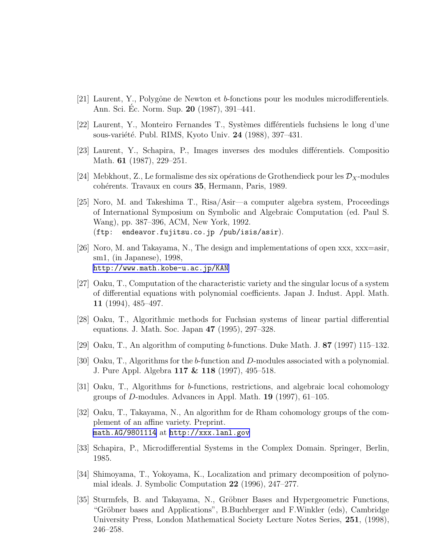- <span id="page-35-0"></span>[21] Laurent, Y., Polygône de Newton et b-fonctions pour les modules microdifferentiels. Ann. Sci. Ec. Norm. Sup. **20** (1987), 391–441.
- [22] Laurent, Y., Monteiro Fernandes T., Systèmes différentiels fuchsiens le long d'une sous-variété. Publ. RIMS, Kyoto Univ. 24 (1988), 397–431.
- [23] Laurent, Y., Schapira, P., Images inverses des modules différentiels. Compositio Math. **61** (1987), 229–251.
- [24] Mebkhout, Z., Le formalisme des six opérations de Grothendieck pour les  $\mathcal{D}_X$ -modules cohérents. Travaux en cours 35, Hermann, Paris, 1989.
- [25] Noro, M. and Takeshima T., Risa/Asir—a computer algebra system, Proceedings of International Symposium on Symbolic and Algebraic Computation (ed. Paul S. Wang), pp. 387–396, ACM, New York, 1992. (ftp: endeavor.fujitsu.co.jp /pub/isis/asir).
- [26] Noro, M. and Takayama, N., The design and implementations of open xxx, xxx=asir, sm1, (in Japanese), 1998, <http://www.math.kobe-u.ac.jp/KAN>
- [27] Oaku, T., Computation of the characteristic variety and the singular locus of a system of differential equations with polynomial coefficients. Japan J. Indust. Appl. Math. 11 (1994), 485–497.
- [28] Oaku, T., Algorithmic methods for Fuchsian systems of linear partial differential equations. J. Math. Soc. Japan 47 (1995), 297–328.
- [29] Oaku, T., An algorithm of computing b-functions. Duke Math. J. 87 (1997) 115–132.
- [30] Oaku, T., Algorithms for the b-function and D-modules associated with a polynomial. J. Pure Appl. Algebra 117 & 118 (1997), 495–518.
- [31] Oaku, T., Algorithms for b-functions, restrictions, and algebraic local cohomology groups of D-modules. Advances in Appl. Math. 19 (1997), 61–105.
- [32] Oaku, T., Takayama, N., An algorithm for de Rham cohomology groups of the complement of an affine variety. Preprint. [math.AG/9801114](http://arxiv.org/abs/math/9801114) at <http://xxx.lanl.gov>
- [33] Schapira, P., Microdifferential Systems in the Complex Domain. Springer, Berlin, 1985.
- [34] Shimoyama, T., Yokoyama, K., Localization and primary decomposition of polynomial ideals. J. Symbolic Computation 22 (1996), 247–277.
- [35] Sturmfels, B. and Takayama, N., Gröbner Bases and Hypergeometric Functions, "Gröbner bases and Applications", B.Buchberger and F.Winkler (eds), Cambridge University Press, London Mathematical Society Lecture Notes Series, 251, (1998), 246–258.